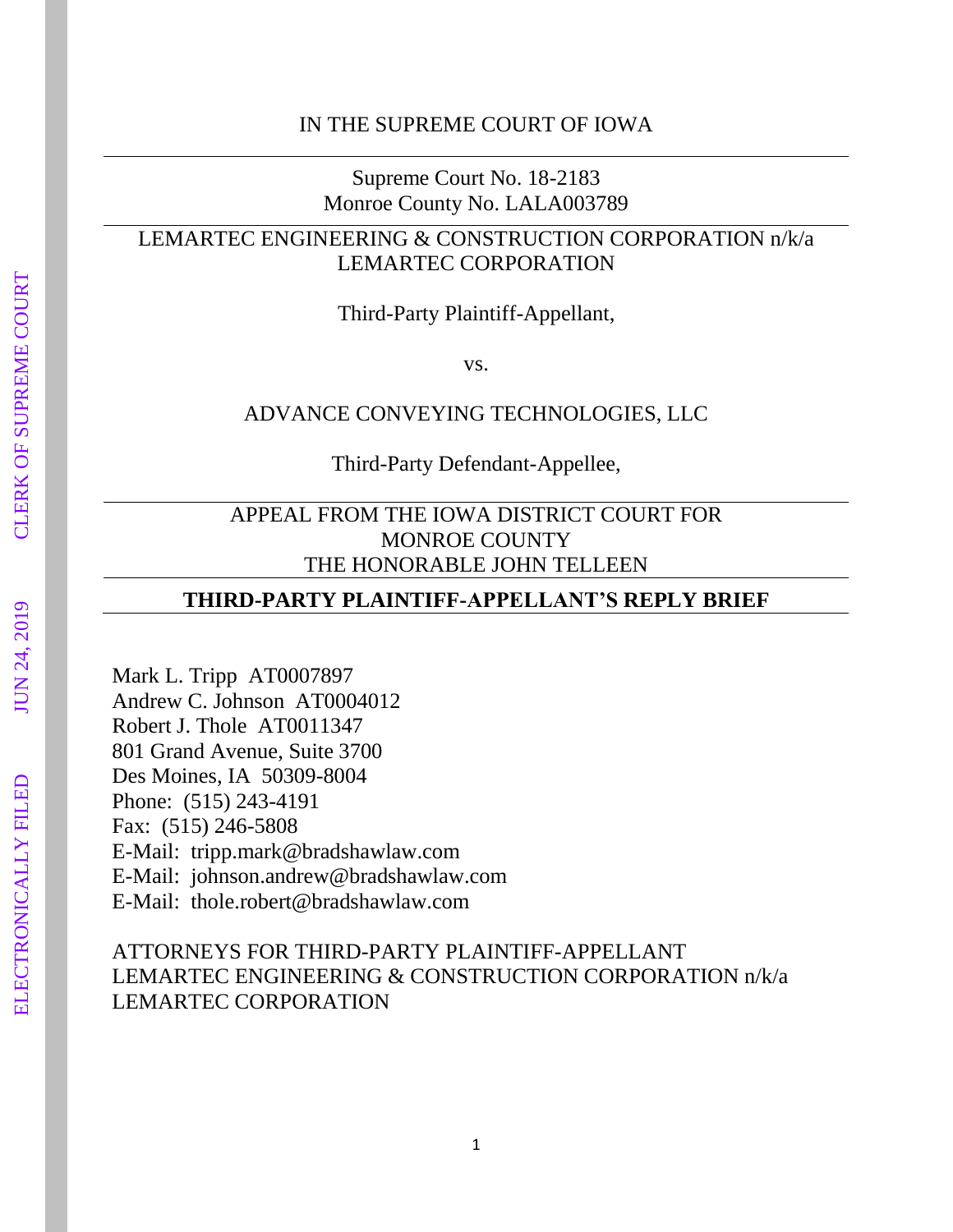Supreme Court No. 18-2183 Monroe County No. LALA003789

# LEMARTEC ENGINEERING & CONSTRUCTION CORPORATION n/k/a LEMARTEC CORPORATION

Third-Party Plaintiff-Appellant,

vs.

### ADVANCE CONVEYING TECHNOLOGIES, LLC

Third-Party Defendant-Appellee,

### APPEAL FROM THE IOWA DISTRICT COURT FOR MONROE COUNTY THE HONORABLE JOHN TELLEEN

### **THIRD-PARTY PLAINTIFF-APPELLANT'S REPLY BRIEF**

Mark L. Tripp AT0007897 Andrew C. Johnson AT0004012 Robert J. Thole AT0011347 801 Grand Avenue, Suite 3700 Des Moines, IA 50309-8004 Phone: (515) 243-4191 Fax: (515) 246-5808 E-Mail: tripp.mark@bradshawlaw.com E-Mail: johnson.andrew@bradshawlaw.com E-Mail: thole.robert@bradshawlaw.com

# ATTORNEYS FOR THIRD-PARTY PLAINTIFF-APPELLANT LEMARTEC ENGINEERING & CONSTRUCTION CORPORATION n/k/a LEMARTEC CORPORATION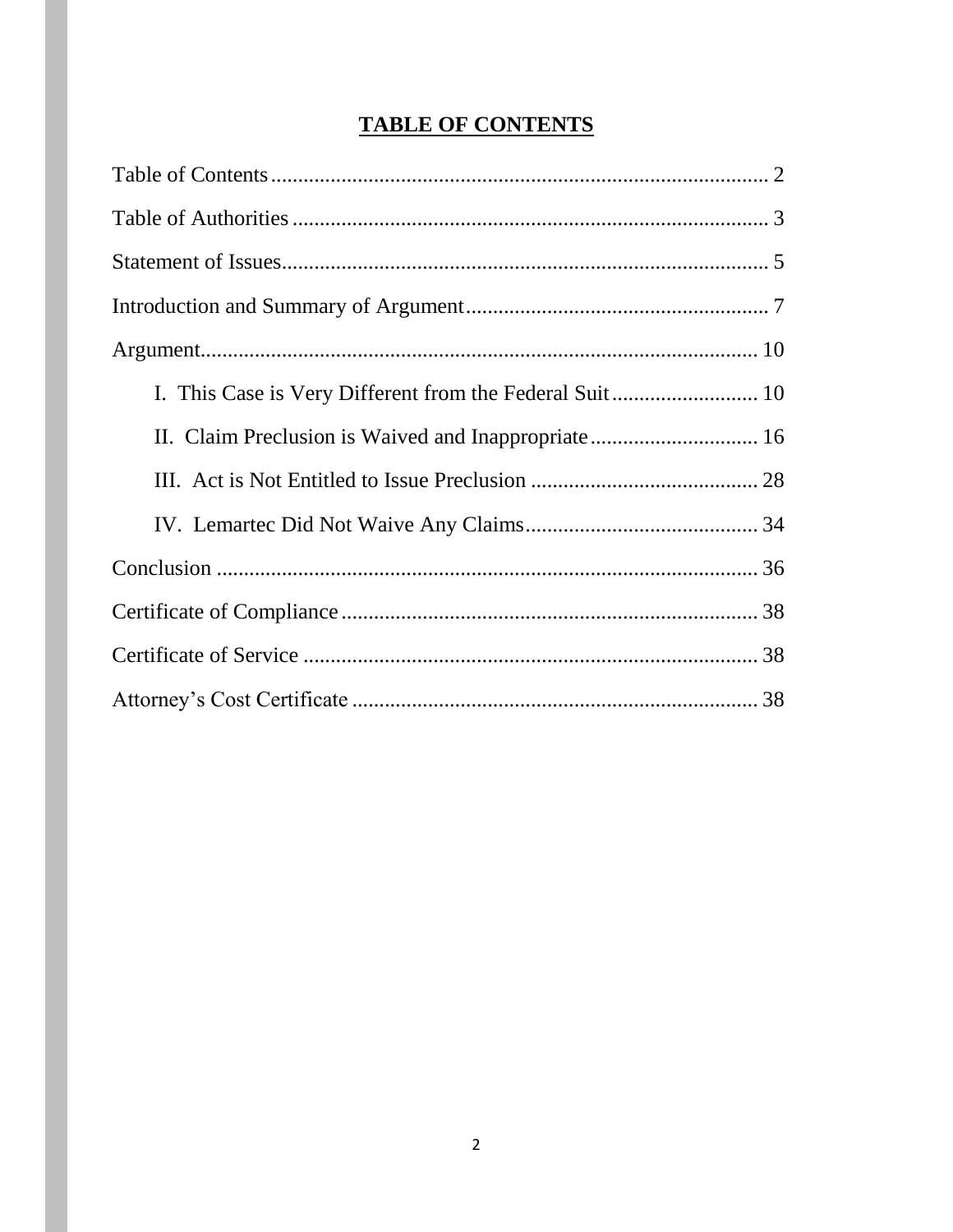# **TABLE OF CONTENTS**

| II. Claim Preclusion is Waived and Inappropriate 16 |  |
|-----------------------------------------------------|--|
|                                                     |  |
|                                                     |  |
|                                                     |  |
|                                                     |  |
|                                                     |  |
|                                                     |  |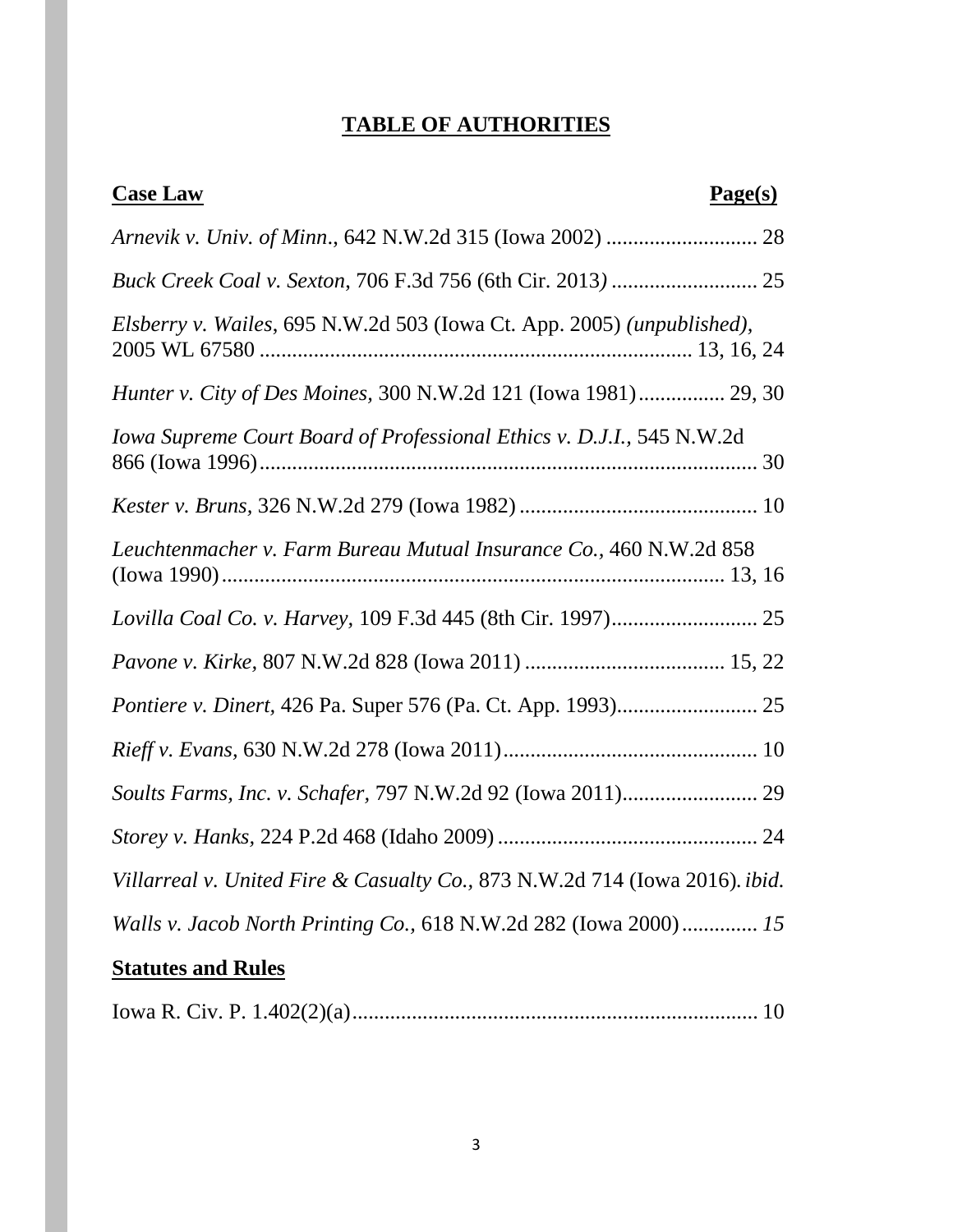# **TABLE OF AUTHORITIES**

| <b>Case Law</b><br>Page(s)                                                  |
|-----------------------------------------------------------------------------|
|                                                                             |
|                                                                             |
| Elsberry v. Wailes, 695 N.W.2d 503 (Iowa Ct. App. 2005) (unpublished),      |
| Hunter v. City of Des Moines, 300 N.W.2d 121 (Iowa 1981) 29, 30             |
| Iowa Supreme Court Board of Professional Ethics v. D.J.I., 545 N.W.2d       |
|                                                                             |
| Leuchtenmacher v. Farm Bureau Mutual Insurance Co., 460 N.W.2d 858          |
|                                                                             |
|                                                                             |
|                                                                             |
|                                                                             |
|                                                                             |
|                                                                             |
| Villarreal v. United Fire & Casualty Co., 873 N.W.2d 714 (Iowa 2016). ibid. |
| Walls v. Jacob North Printing Co., 618 N.W.2d 282 (Iowa 2000) 15            |
| <b>Statutes and Rules</b>                                                   |

|--|--|--|--|--|--|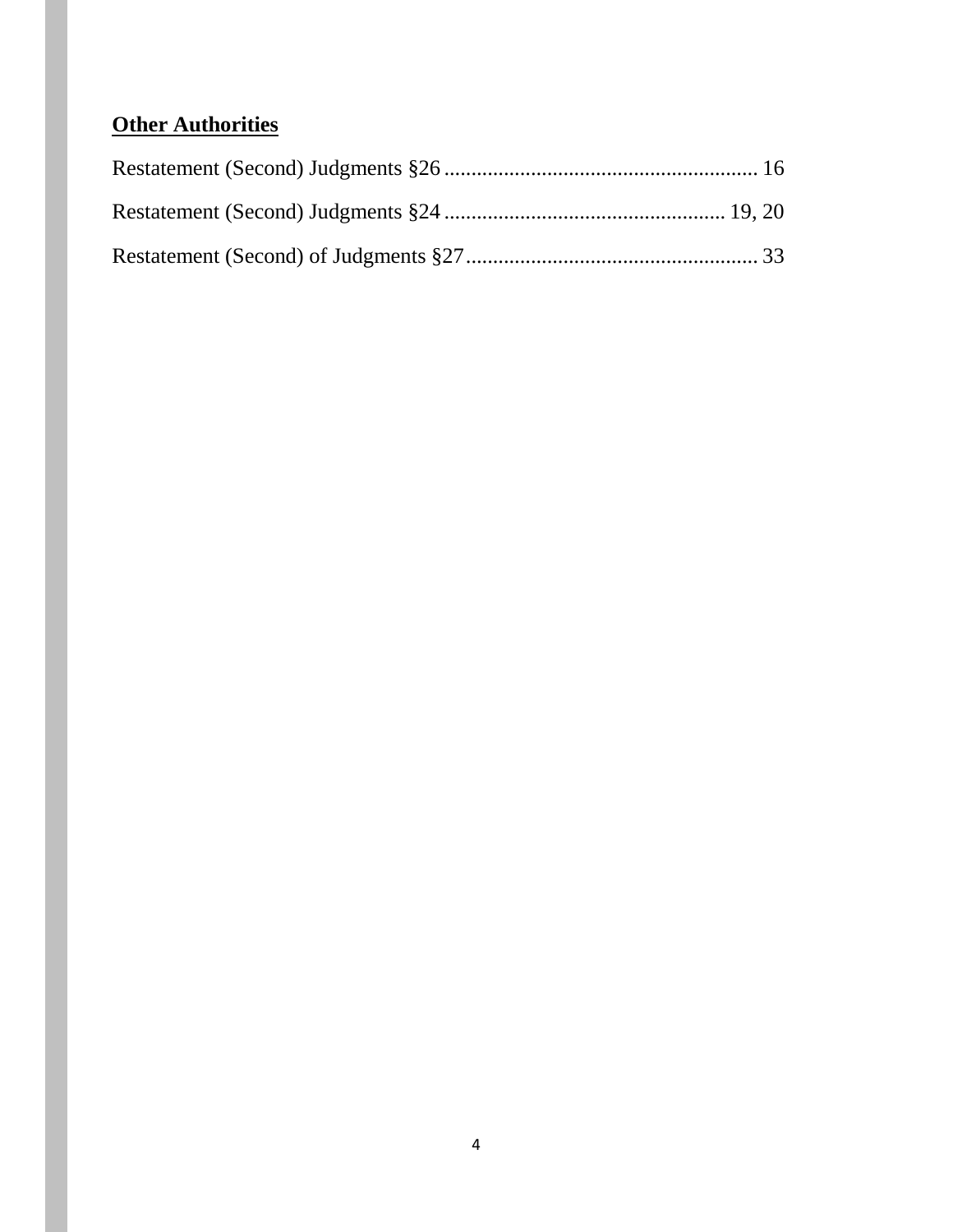# **Other Authorities**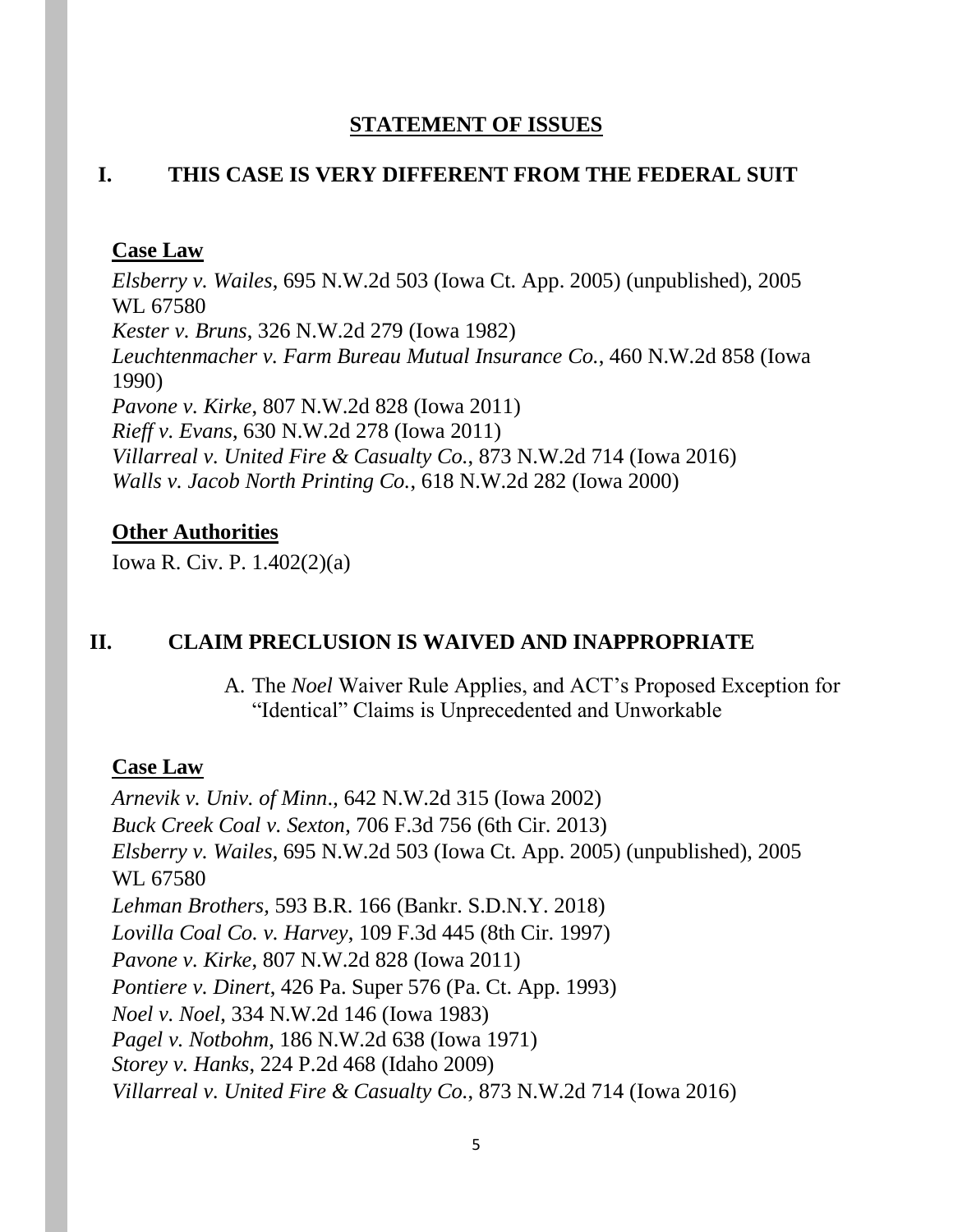### **STATEMENT OF ISSUES**

### **I. THIS CASE IS VERY DIFFERENT FROM THE FEDERAL SUIT**

### **Case Law**

*Elsberry v. Wailes*, 695 N.W.2d 503 (Iowa Ct. App. 2005) (unpublished), 2005 WL 67580 *Kester v. Bruns*, 326 N.W.2d 279 (Iowa 1982) *Leuchtenmacher v. Farm Bureau Mutual Insurance Co.*, 460 N.W.2d 858 (Iowa 1990) *Pavone v. Kirke*, 807 N.W.2d 828 (Iowa 2011) *Rieff v. Evans*, 630 N.W.2d 278 (Iowa 2011) *Villarreal v. United Fire & Casualty Co.*, 873 N.W.2d 714 (Iowa 2016) *Walls v. Jacob North Printing Co.*, 618 N.W.2d 282 (Iowa 2000)

### **Other Authorities**

Iowa R. Civ. P. 1.402(2)(a)

### **II. CLAIM PRECLUSION IS WAIVED AND INAPPROPRIATE**

A. The *Noel* Waiver Rule Applies, and ACT's Proposed Exception for "Identical" Claims is Unprecedented and Unworkable

### **Case Law**

*Arnevik v. Univ. of Minn*., 642 N.W.2d 315 (Iowa 2002) *Buck Creek Coal v. Sexton*, 706 F.3d 756 (6th Cir. 2013) *Elsberry v. Wailes*, 695 N.W.2d 503 (Iowa Ct. App. 2005) (unpublished), 2005 WL 67580 *Lehman Brothers,* 593 B.R. 166 (Bankr. S.D.N.Y. 2018) *Lovilla Coal Co. v. Harvey*, 109 F.3d 445 (8th Cir. 1997) *Pavone v. Kirke*, 807 N.W.2d 828 (Iowa 2011) *Pontiere v. Dinert*, 426 Pa. Super 576 (Pa. Ct. App. 1993) *Noel v. Noel*, 334 N.W.2d 146 (Iowa 1983) *Pagel v. Notbohm*, 186 N.W.2d 638 (Iowa 1971) *Storey v. Hanks*, 224 P.2d 468 (Idaho 2009) *Villarreal v. United Fire & Casualty Co.*, 873 N.W.2d 714 (Iowa 2016)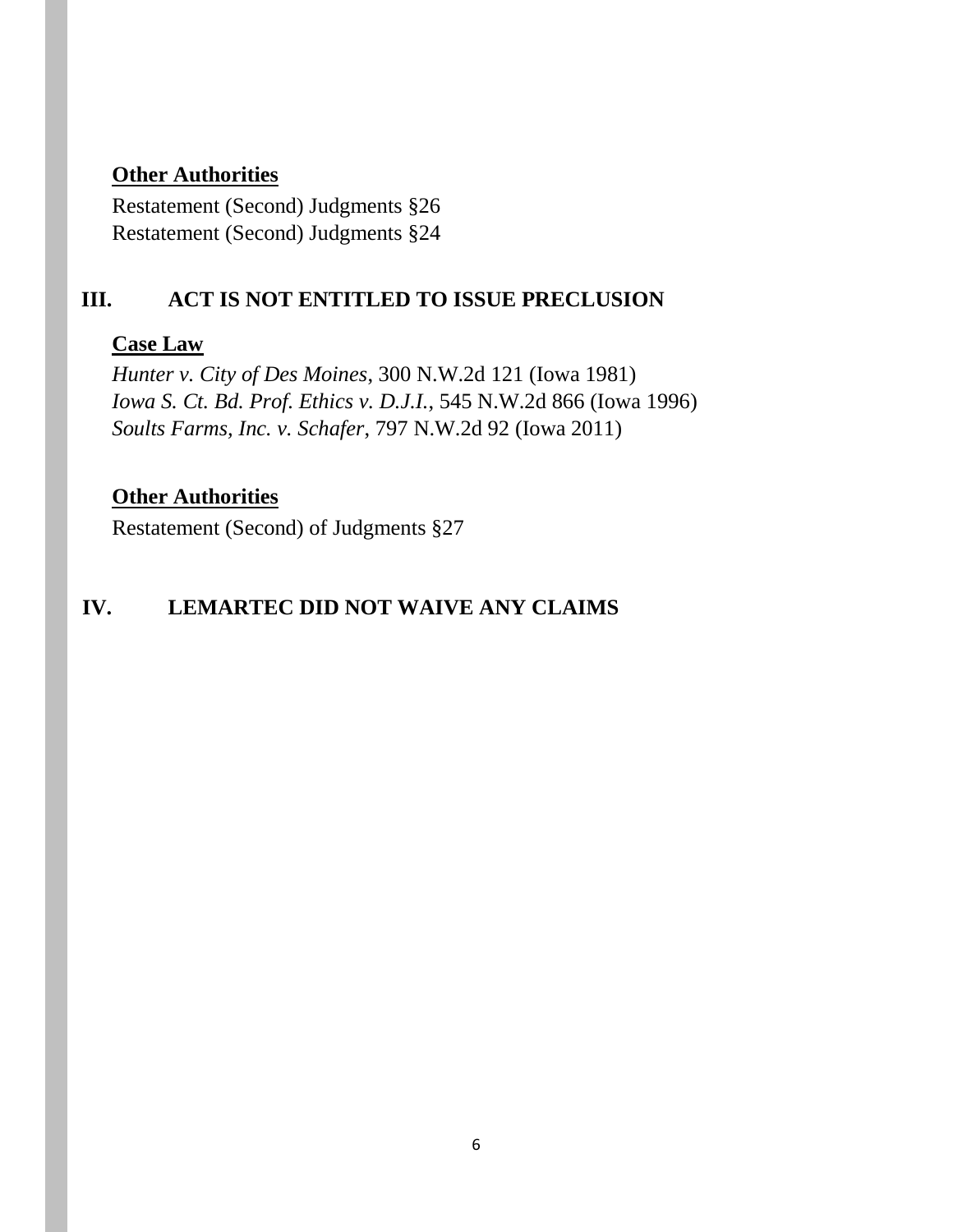# **Other Authorities**

Restatement (Second) Judgments §26 Restatement (Second) Judgments §24

# **III. ACT IS NOT ENTITLED TO ISSUE PRECLUSION**

# **Case Law**

*Hunter v. City of Des Moines*, 300 N.W.2d 121 (Iowa 1981) *Iowa S. Ct. Bd. Prof. Ethics v. D.J.I.*, 545 N.W.2d 866 (Iowa 1996) *Soults Farms, Inc. v. Schafer*, 797 N.W.2d 92 (Iowa 2011)

## **Other Authorities**

Restatement (Second) of Judgments §27

# **IV. LEMARTEC DID NOT WAIVE ANY CLAIMS**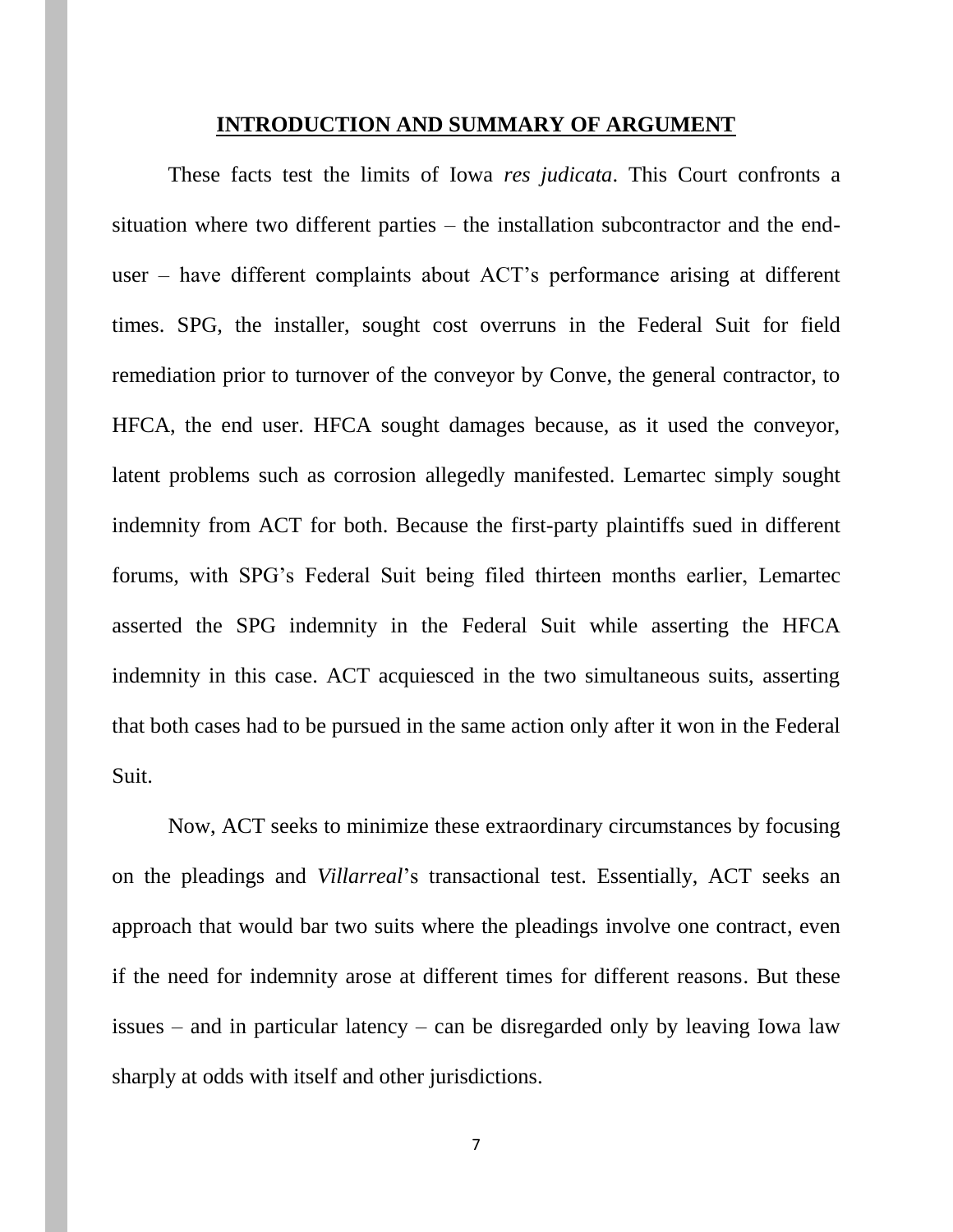#### **INTRODUCTION AND SUMMARY OF ARGUMENT**

These facts test the limits of Iowa *res judicata*. This Court confronts a situation where two different parties – the installation subcontractor and the enduser – have different complaints about ACT's performance arising at different times. SPG, the installer, sought cost overruns in the Federal Suit for field remediation prior to turnover of the conveyor by Conve, the general contractor, to HFCA, the end user. HFCA sought damages because, as it used the conveyor, latent problems such as corrosion allegedly manifested. Lemartec simply sought indemnity from ACT for both. Because the first-party plaintiffs sued in different forums, with SPG's Federal Suit being filed thirteen months earlier, Lemartec asserted the SPG indemnity in the Federal Suit while asserting the HFCA indemnity in this case. ACT acquiesced in the two simultaneous suits, asserting that both cases had to be pursued in the same action only after it won in the Federal Suit.

Now, ACT seeks to minimize these extraordinary circumstances by focusing on the pleadings and *Villarreal*'s transactional test. Essentially, ACT seeks an approach that would bar two suits where the pleadings involve one contract, even if the need for indemnity arose at different times for different reasons. But these issues – and in particular latency – can be disregarded only by leaving Iowa law sharply at odds with itself and other jurisdictions.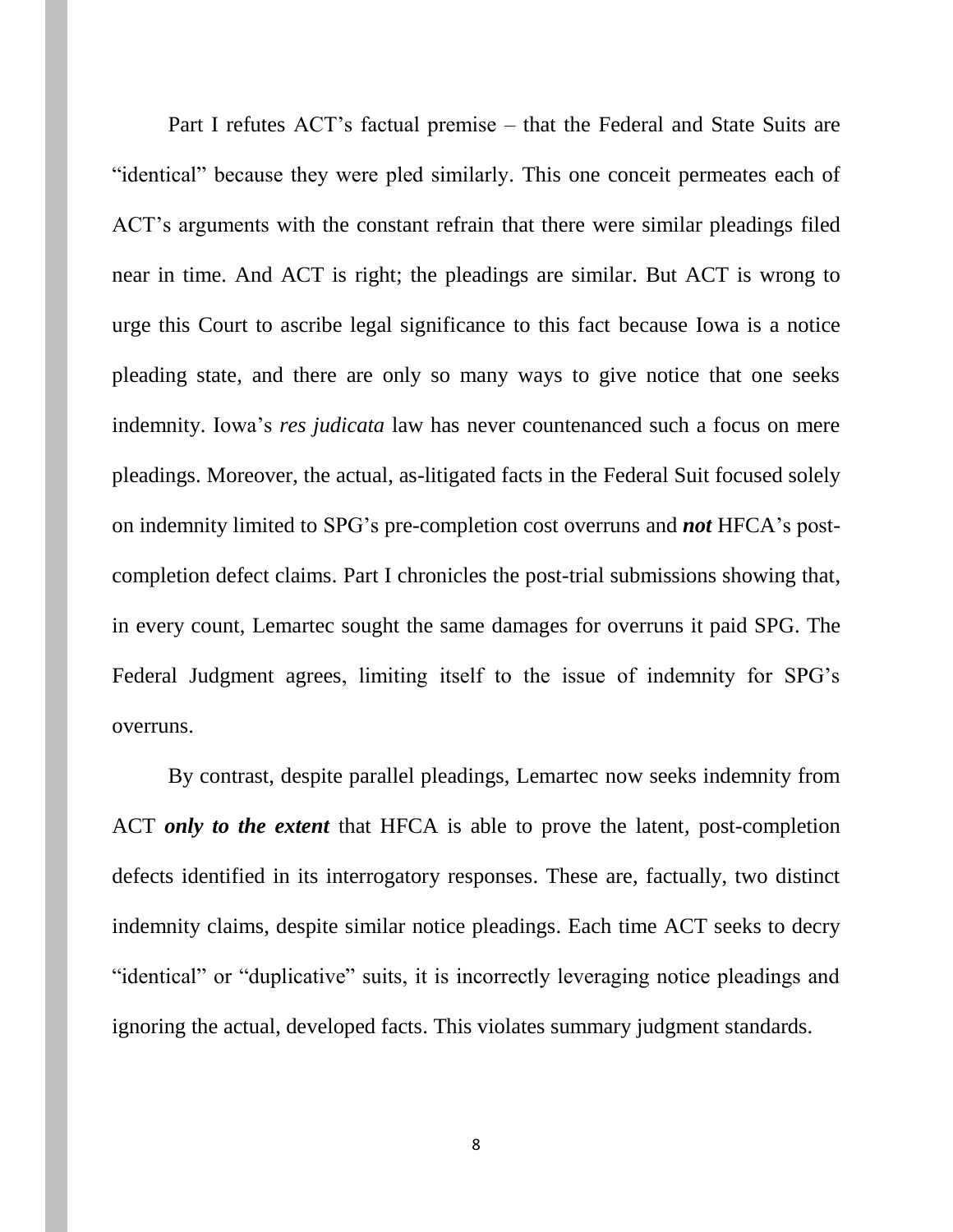Part I refutes ACT's factual premise – that the Federal and State Suits are "identical" because they were pled similarly. This one conceit permeates each of ACT's arguments with the constant refrain that there were similar pleadings filed near in time. And ACT is right; the pleadings are similar. But ACT is wrong to urge this Court to ascribe legal significance to this fact because Iowa is a notice pleading state, and there are only so many ways to give notice that one seeks indemnity. Iowa's *res judicata* law has never countenanced such a focus on mere pleadings. Moreover, the actual, as-litigated facts in the Federal Suit focused solely on indemnity limited to SPG's pre-completion cost overruns and *not* HFCA's postcompletion defect claims. Part I chronicles the post-trial submissions showing that, in every count, Lemartec sought the same damages for overruns it paid SPG. The Federal Judgment agrees, limiting itself to the issue of indemnity for SPG's overruns.

By contrast, despite parallel pleadings, Lemartec now seeks indemnity from ACT *only to the extent* that HFCA is able to prove the latent, post-completion defects identified in its interrogatory responses. These are, factually, two distinct indemnity claims, despite similar notice pleadings. Each time ACT seeks to decry "identical" or "duplicative" suits, it is incorrectly leveraging notice pleadings and ignoring the actual, developed facts. This violates summary judgment standards.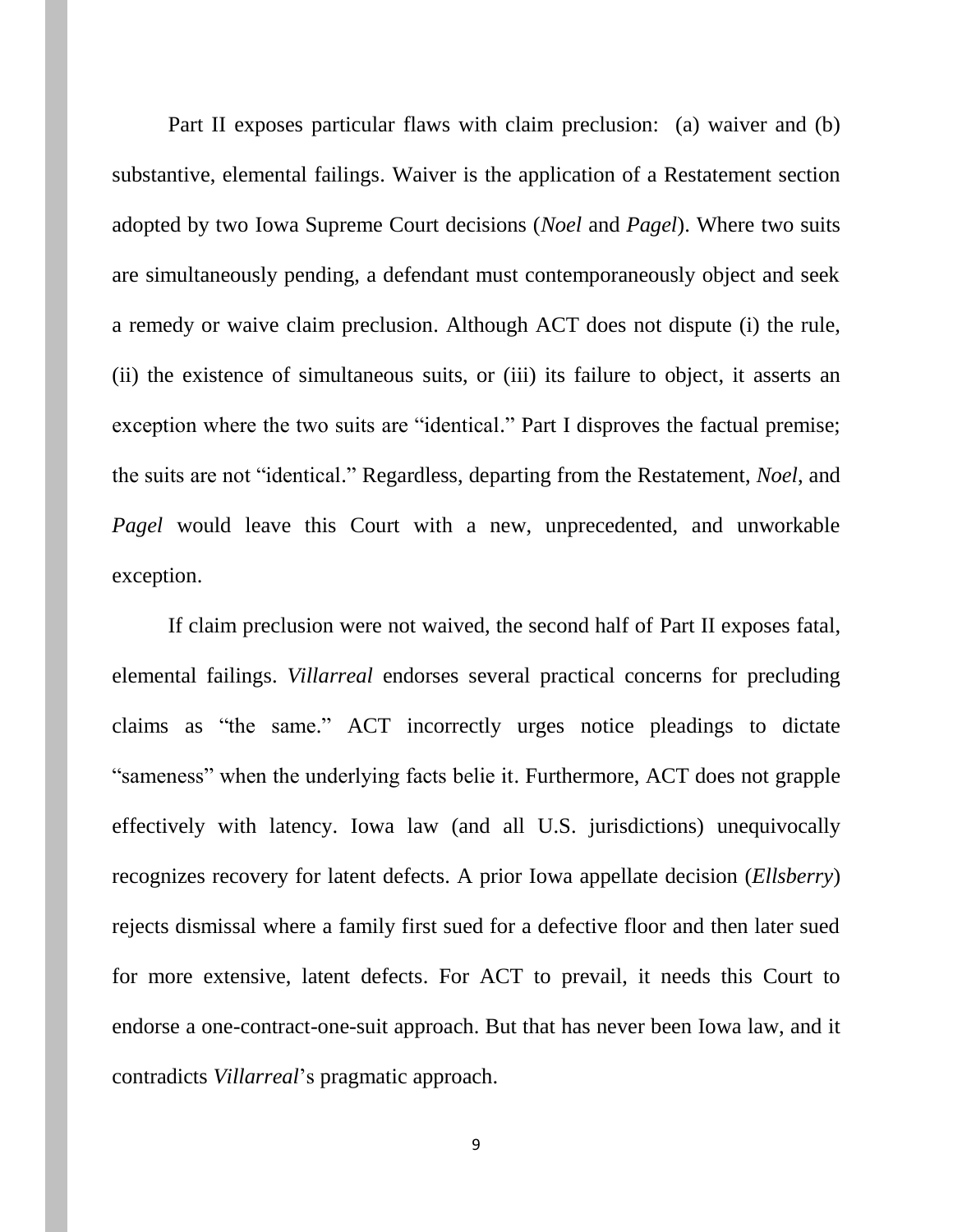Part II exposes particular flaws with claim preclusion: (a) waiver and (b) substantive, elemental failings. Waiver is the application of a Restatement section adopted by two Iowa Supreme Court decisions (*Noel* and *Pagel*). Where two suits are simultaneously pending, a defendant must contemporaneously object and seek a remedy or waive claim preclusion. Although ACT does not dispute (i) the rule, (ii) the existence of simultaneous suits, or (iii) its failure to object, it asserts an exception where the two suits are "identical." Part I disproves the factual premise; the suits are not "identical." Regardless, departing from the Restatement, *Noel*, and *Pagel* would leave this Court with a new, unprecedented, and unworkable exception.

If claim preclusion were not waived, the second half of Part II exposes fatal, elemental failings. *Villarreal* endorses several practical concerns for precluding claims as "the same." ACT incorrectly urges notice pleadings to dictate "sameness" when the underlying facts belie it. Furthermore, ACT does not grapple effectively with latency. Iowa law (and all U.S. jurisdictions) unequivocally recognizes recovery for latent defects. A prior Iowa appellate decision (*Ellsberry*) rejects dismissal where a family first sued for a defective floor and then later sued for more extensive, latent defects. For ACT to prevail, it needs this Court to endorse a one-contract-one-suit approach. But that has never been Iowa law, and it contradicts *Villarreal*'s pragmatic approach.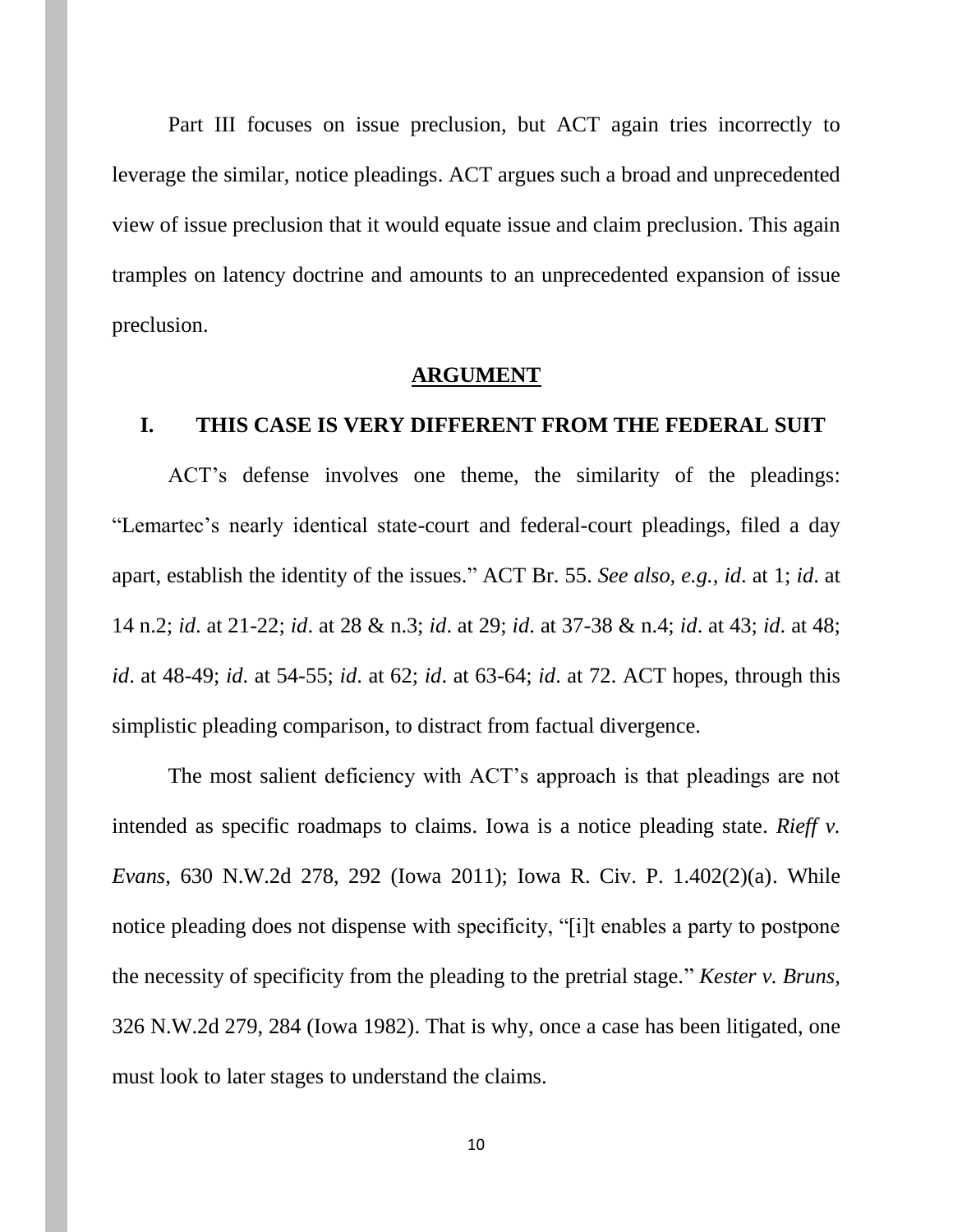Part III focuses on issue preclusion, but ACT again tries incorrectly to leverage the similar, notice pleadings. ACT argues such a broad and unprecedented view of issue preclusion that it would equate issue and claim preclusion. This again tramples on latency doctrine and amounts to an unprecedented expansion of issue preclusion.

#### **ARGUMENT**

#### **I. THIS CASE IS VERY DIFFERENT FROM THE FEDERAL SUIT**

ACT's defense involves one theme, the similarity of the pleadings: "Lemartec's nearly identical state-court and federal-court pleadings, filed a day apart, establish the identity of the issues." ACT Br. 55. *See also, e.g.*, *id*. at 1; *id*. at 14 n.2; *id*. at 21-22; *id*. at 28 & n.3; *id*. at 29; *id*. at 37-38 & n.4; *id*. at 43; *id*. at 48; *id*. at 48-49; *id*. at 54-55; *id*. at 62; *id*. at 63-64; *id*. at 72. ACT hopes, through this simplistic pleading comparison, to distract from factual divergence.

The most salient deficiency with ACT's approach is that pleadings are not intended as specific roadmaps to claims. Iowa is a notice pleading state. *Rieff v. Evans*, 630 N.W.2d 278, 292 (Iowa 2011); Iowa R. Civ. P. 1.402(2)(a). While notice pleading does not dispense with specificity, "[i]t enables a party to postpone the necessity of specificity from the pleading to the pretrial stage." *Kester v. Bruns*, 326 N.W.2d 279, 284 (Iowa 1982). That is why, once a case has been litigated, one must look to later stages to understand the claims.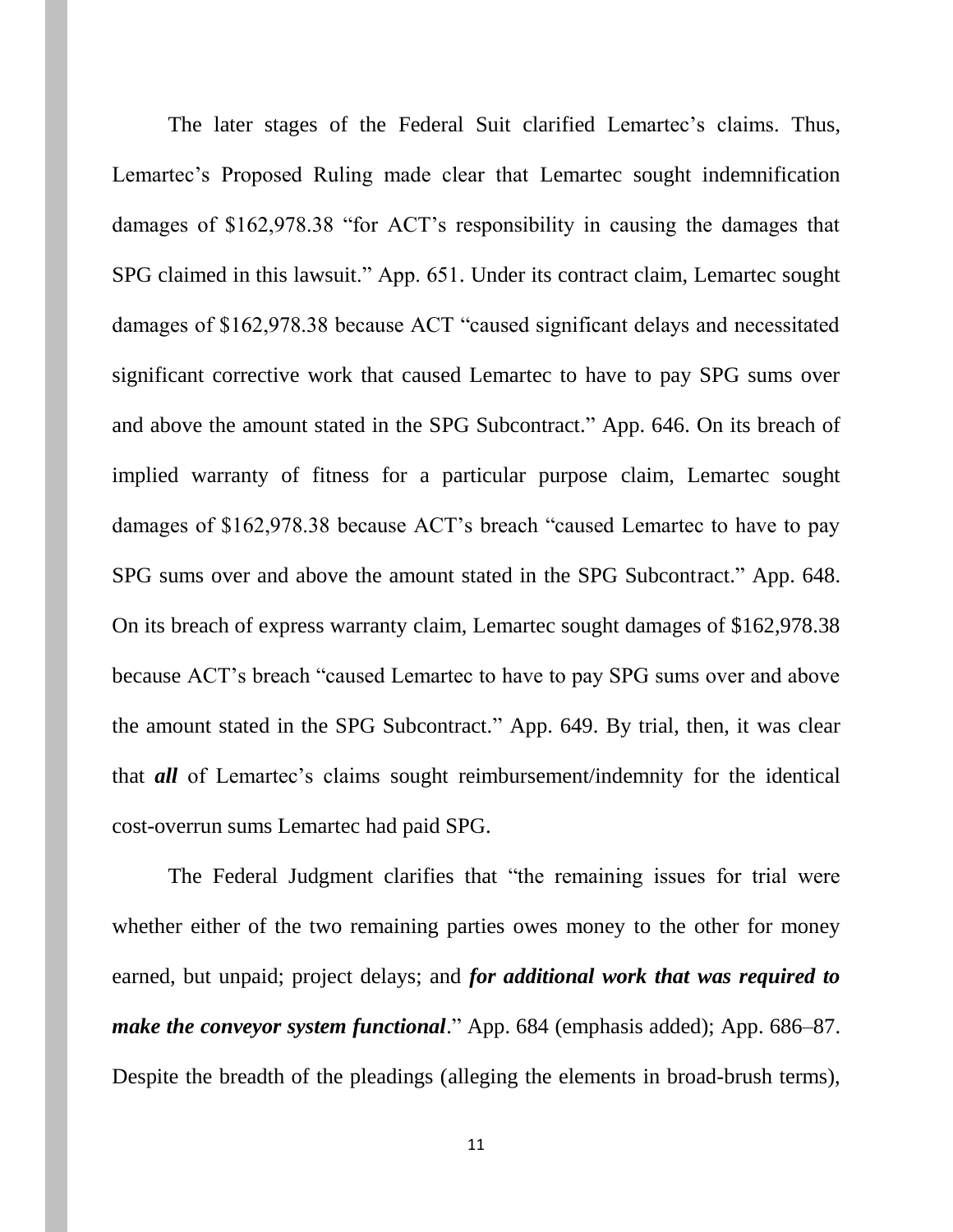The later stages of the Federal Suit clarified Lemartec's claims. Thus, Lemartec's Proposed Ruling made clear that Lemartec sought indemnification damages of \$162,978.38 "for ACT's responsibility in causing the damages that SPG claimed in this lawsuit." App. 651. Under its contract claim, Lemartec sought damages of \$162,978.38 because ACT "caused significant delays and necessitated significant corrective work that caused Lemartec to have to pay SPG sums over and above the amount stated in the SPG Subcontract." App. 646. On its breach of implied warranty of fitness for a particular purpose claim, Lemartec sought damages of \$162,978.38 because ACT's breach "caused Lemartec to have to pay SPG sums over and above the amount stated in the SPG Subcontract." App. 648. On its breach of express warranty claim, Lemartec sought damages of \$162,978.38 because ACT's breach "caused Lemartec to have to pay SPG sums over and above the amount stated in the SPG Subcontract." App. 649. By trial, then, it was clear that *all* of Lemartec's claims sought reimbursement/indemnity for the identical cost-overrun sums Lemartec had paid SPG.

The Federal Judgment clarifies that "the remaining issues for trial were whether either of the two remaining parties owes money to the other for money earned, but unpaid; project delays; and *for additional work that was required to make the conveyor system functional.*" App. 684 (emphasis added); App. 686–87. Despite the breadth of the pleadings (alleging the elements in broad-brush terms),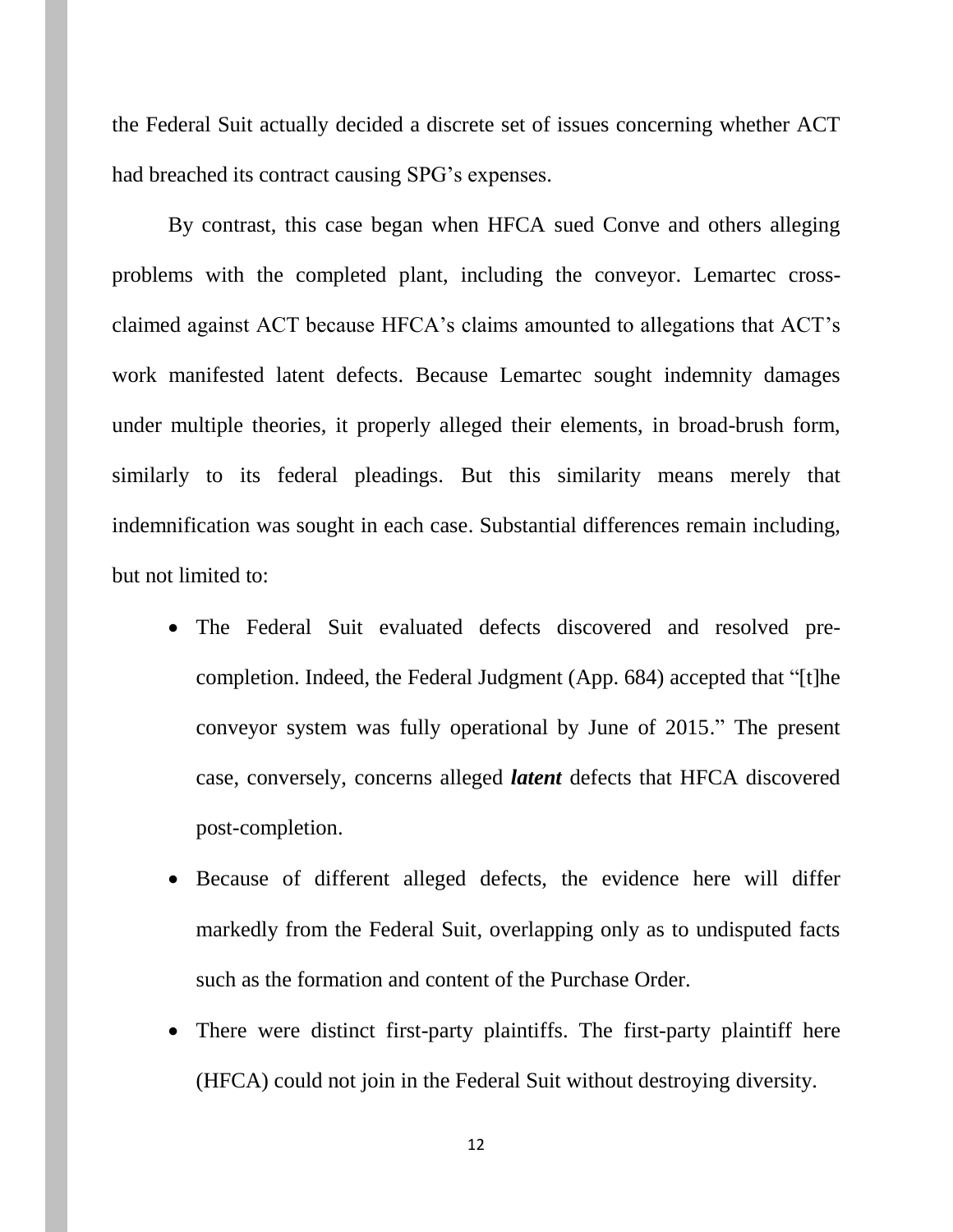the Federal Suit actually decided a discrete set of issues concerning whether ACT had breached its contract causing SPG's expenses.

By contrast, this case began when HFCA sued Conve and others alleging problems with the completed plant, including the conveyor. Lemartec crossclaimed against ACT because HFCA's claims amounted to allegations that ACT's work manifested latent defects. Because Lemartec sought indemnity damages under multiple theories, it properly alleged their elements, in broad-brush form, similarly to its federal pleadings. But this similarity means merely that indemnification was sought in each case. Substantial differences remain including, but not limited to:

- The Federal Suit evaluated defects discovered and resolved precompletion. Indeed, the Federal Judgment (App. 684) accepted that "[t]he conveyor system was fully operational by June of 2015." The present case, conversely, concerns alleged *latent* defects that HFCA discovered post-completion.
- Because of different alleged defects, the evidence here will differ markedly from the Federal Suit, overlapping only as to undisputed facts such as the formation and content of the Purchase Order.
- There were distinct first-party plaintiffs. The first-party plaintiff here (HFCA) could not join in the Federal Suit without destroying diversity.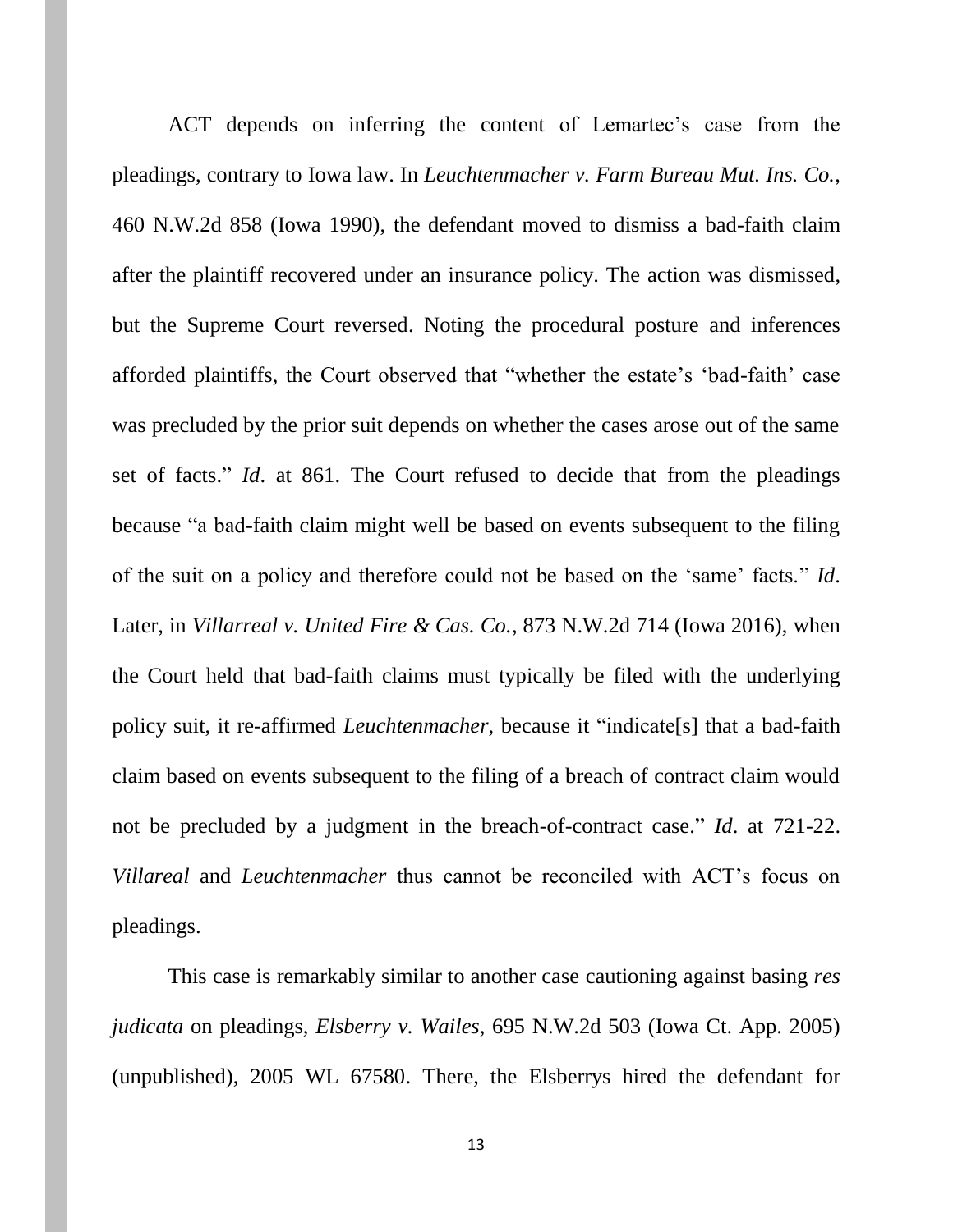ACT depends on inferring the content of Lemartec's case from the pleadings, contrary to Iowa law. In *Leuchtenmacher v. Farm Bureau Mut. Ins. Co.*, 460 N.W.2d 858 (Iowa 1990), the defendant moved to dismiss a bad-faith claim after the plaintiff recovered under an insurance policy. The action was dismissed, but the Supreme Court reversed. Noting the procedural posture and inferences afforded plaintiffs, the Court observed that "whether the estate's 'bad-faith' case was precluded by the prior suit depends on whether the cases arose out of the same set of facts." *Id*. at 861. The Court refused to decide that from the pleadings because "a bad-faith claim might well be based on events subsequent to the filing of the suit on a policy and therefore could not be based on the 'same' facts." *Id*. Later, in *Villarreal v. United Fire & Cas. Co.*, 873 N.W.2d 714 (Iowa 2016), when the Court held that bad-faith claims must typically be filed with the underlying policy suit, it re-affirmed *Leuchtenmacher*, because it "indicate[s] that a bad-faith claim based on events subsequent to the filing of a breach of contract claim would not be precluded by a judgment in the breach-of-contract case." *Id*. at 721-22. *Villareal* and *Leuchtenmacher* thus cannot be reconciled with ACT's focus on pleadings.

This case is remarkably similar to another case cautioning against basing *res judicata* on pleadings, *Elsberry v. Wailes*, 695 N.W.2d 503 (Iowa Ct. App. 2005) (unpublished), 2005 WL 67580. There, the Elsberrys hired the defendant for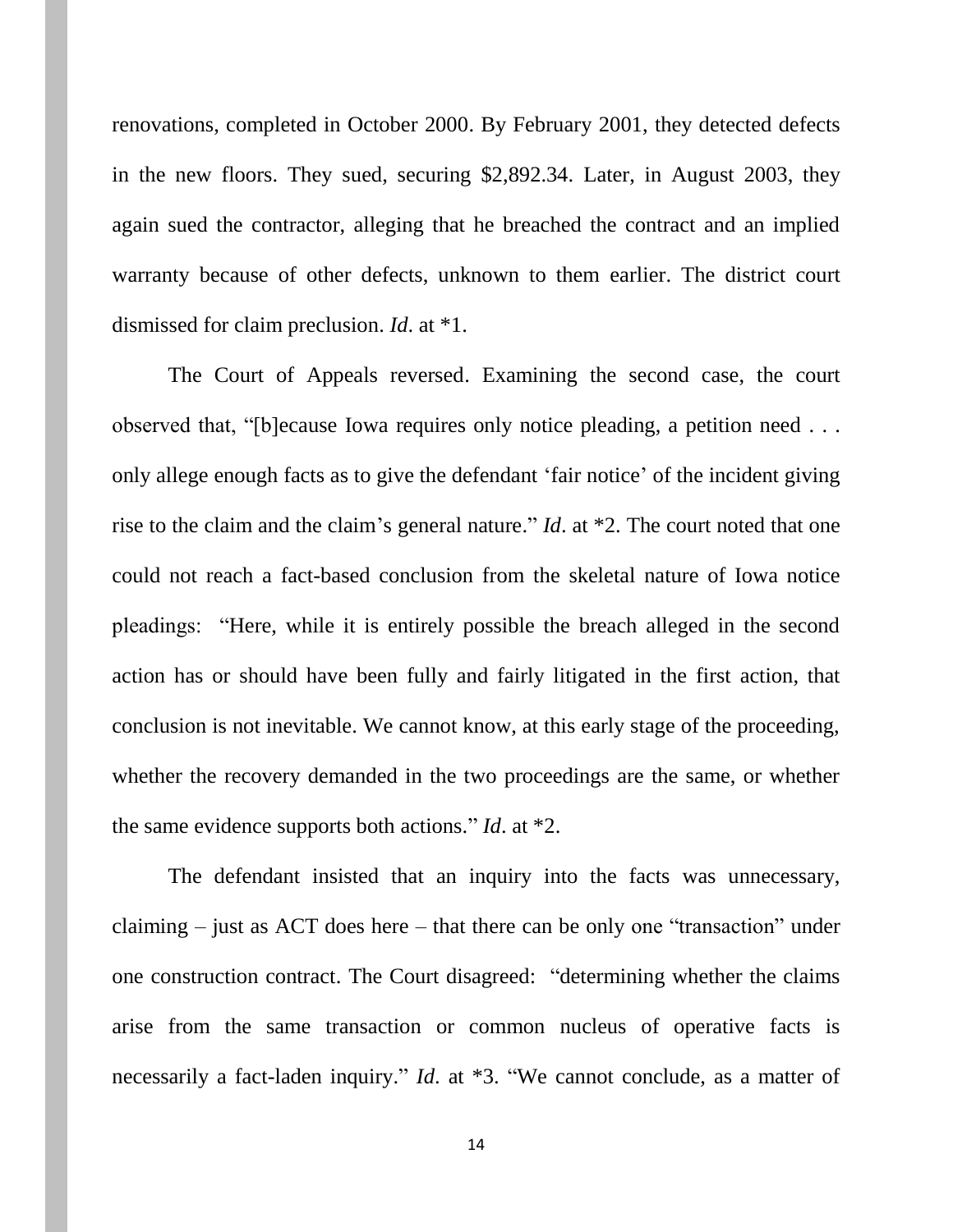renovations, completed in October 2000. By February 2001, they detected defects in the new floors. They sued, securing \$2,892.34. Later, in August 2003, they again sued the contractor, alleging that he breached the contract and an implied warranty because of other defects, unknown to them earlier. The district court dismissed for claim preclusion. *Id*. at \*1.

The Court of Appeals reversed. Examining the second case, the court observed that, "[b]ecause Iowa requires only notice pleading, a petition need . . . only allege enough facts as to give the defendant 'fair notice' of the incident giving rise to the claim and the claim's general nature." *Id*. at \*2. The court noted that one could not reach a fact-based conclusion from the skeletal nature of Iowa notice pleadings: "Here, while it is entirely possible the breach alleged in the second action has or should have been fully and fairly litigated in the first action, that conclusion is not inevitable. We cannot know, at this early stage of the proceeding, whether the recovery demanded in the two proceedings are the same, or whether the same evidence supports both actions." *Id*. at \*2.

The defendant insisted that an inquiry into the facts was unnecessary, claiming – just as ACT does here – that there can be only one "transaction" under one construction contract. The Court disagreed: "determining whether the claims arise from the same transaction or common nucleus of operative facts is necessarily a fact-laden inquiry." *Id*. at \*3. "We cannot conclude, as a matter of

14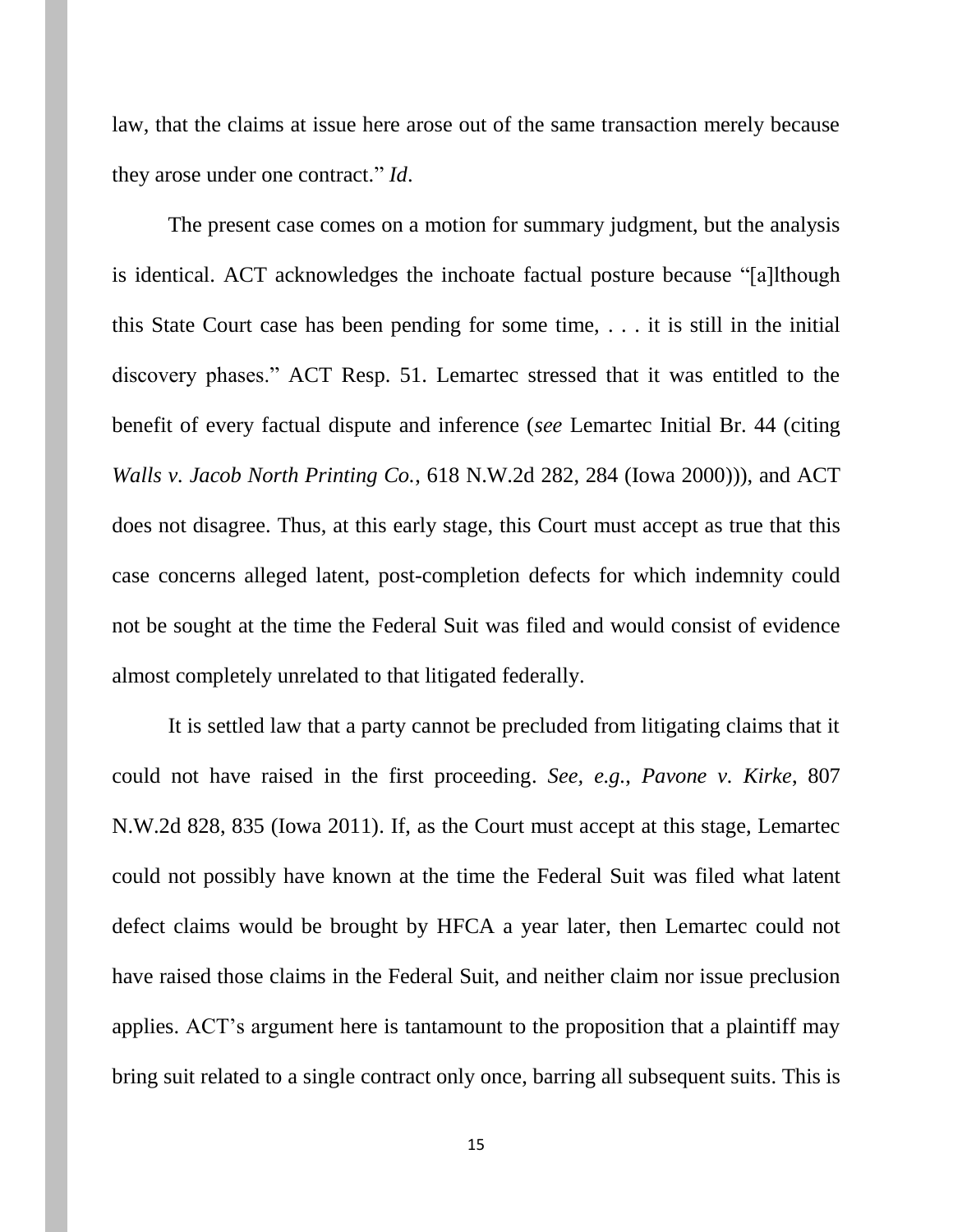law, that the claims at issue here arose out of the same transaction merely because they arose under one contract." *Id*.

The present case comes on a motion for summary judgment, but the analysis is identical. ACT acknowledges the inchoate factual posture because "[a]lthough this State Court case has been pending for some time, . . . it is still in the initial discovery phases." ACT Resp. 51. Lemartec stressed that it was entitled to the benefit of every factual dispute and inference (*see* Lemartec Initial Br. 44 (citing *Walls v. Jacob North Printing Co.*, 618 N.W.2d 282, 284 (Iowa 2000))), and ACT does not disagree. Thus, at this early stage, this Court must accept as true that this case concerns alleged latent, post-completion defects for which indemnity could not be sought at the time the Federal Suit was filed and would consist of evidence almost completely unrelated to that litigated federally.

It is settled law that a party cannot be precluded from litigating claims that it could not have raised in the first proceeding. *See, e.g.*, *Pavone v. Kirke*, 807 N.W.2d 828, 835 (Iowa 2011). If, as the Court must accept at this stage, Lemartec could not possibly have known at the time the Federal Suit was filed what latent defect claims would be brought by HFCA a year later, then Lemartec could not have raised those claims in the Federal Suit, and neither claim nor issue preclusion applies. ACT's argument here is tantamount to the proposition that a plaintiff may bring suit related to a single contract only once, barring all subsequent suits. This is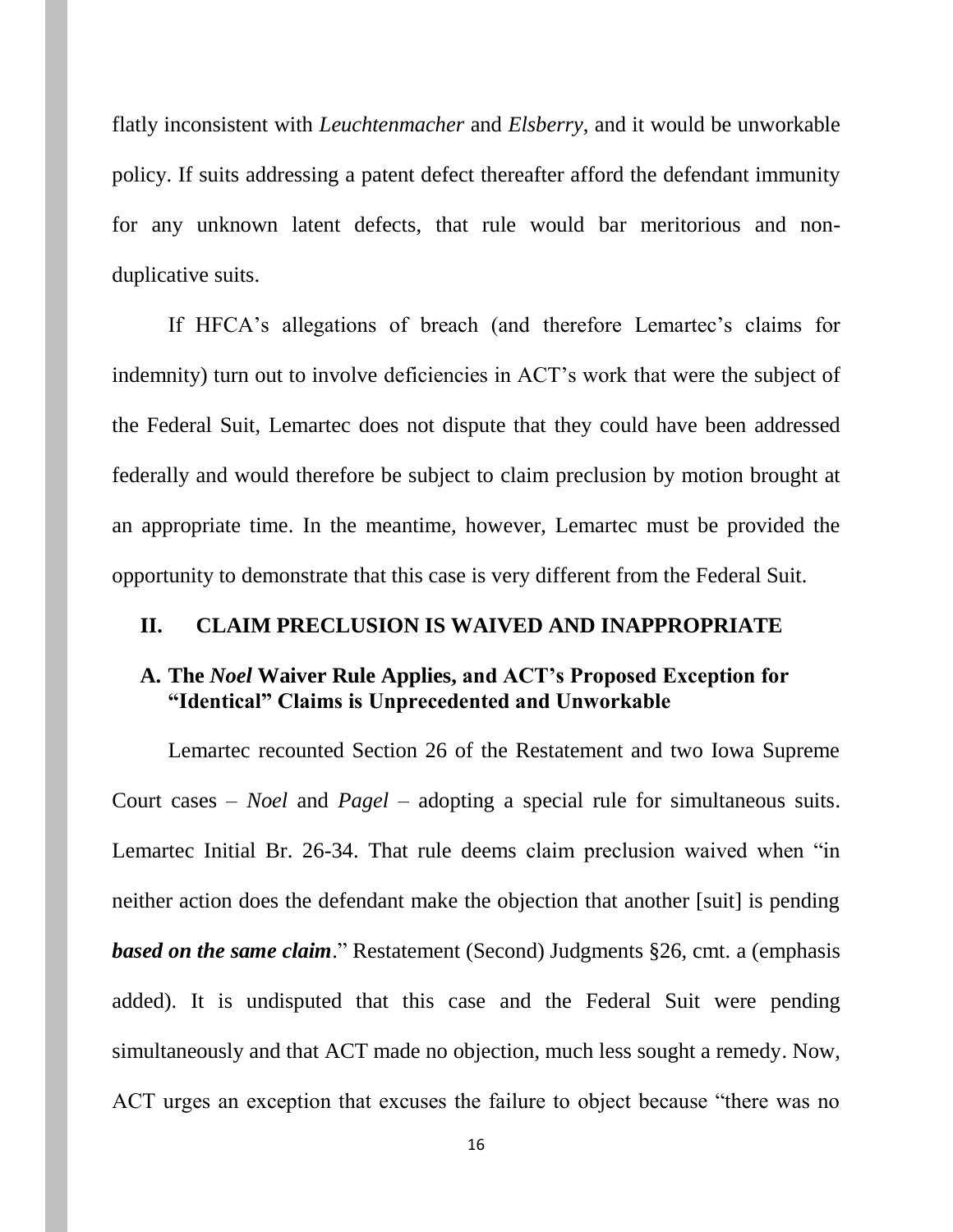flatly inconsistent with *Leuchtenmacher* and *Elsberry*, and it would be unworkable policy. If suits addressing a patent defect thereafter afford the defendant immunity for any unknown latent defects, that rule would bar meritorious and nonduplicative suits.

If HFCA's allegations of breach (and therefore Lemartec's claims for indemnity) turn out to involve deficiencies in ACT's work that were the subject of the Federal Suit, Lemartec does not dispute that they could have been addressed federally and would therefore be subject to claim preclusion by motion brought at an appropriate time. In the meantime, however, Lemartec must be provided the opportunity to demonstrate that this case is very different from the Federal Suit.

#### **II. CLAIM PRECLUSION IS WAIVED AND INAPPROPRIATE**

### **A. The** *Noel* **Waiver Rule Applies, and ACT's Proposed Exception for "Identical" Claims is Unprecedented and Unworkable**

Lemartec recounted Section 26 of the Restatement and two Iowa Supreme Court cases – *Noel* and *Pagel* – adopting a special rule for simultaneous suits. Lemartec Initial Br. 26-34. That rule deems claim preclusion waived when "in neither action does the defendant make the objection that another [suit] is pending *based on the same claim*." Restatement (Second) Judgments §26, cmt. a (emphasis added). It is undisputed that this case and the Federal Suit were pending simultaneously and that ACT made no objection, much less sought a remedy. Now, ACT urges an exception that excuses the failure to object because "there was no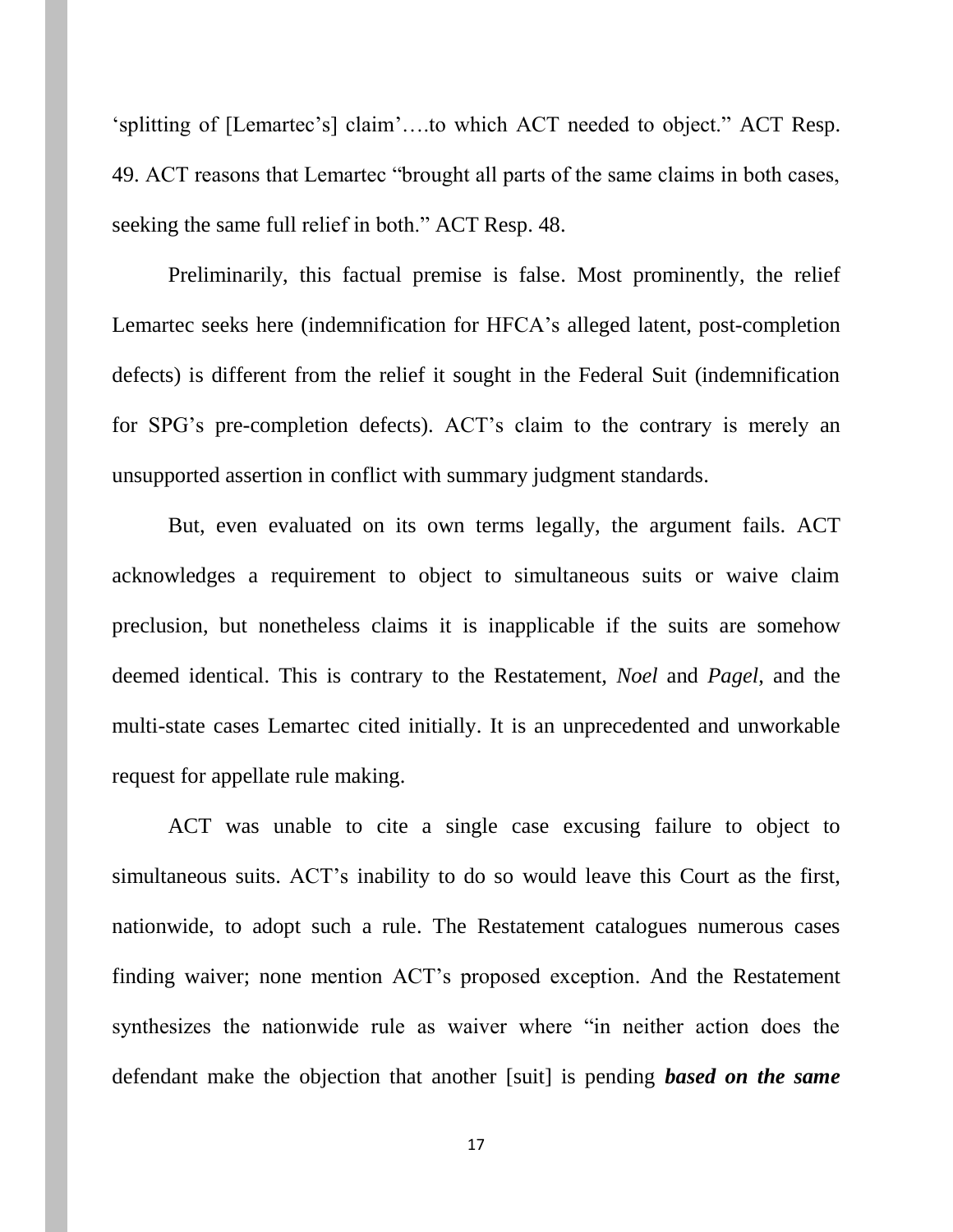'splitting of [Lemartec's] claim'….to which ACT needed to object." ACT Resp. 49. ACT reasons that Lemartec "brought all parts of the same claims in both cases, seeking the same full relief in both." ACT Resp. 48.

Preliminarily, this factual premise is false. Most prominently, the relief Lemartec seeks here (indemnification for HFCA's alleged latent, post-completion defects) is different from the relief it sought in the Federal Suit (indemnification for SPG's pre-completion defects). ACT's claim to the contrary is merely an unsupported assertion in conflict with summary judgment standards.

But, even evaluated on its own terms legally, the argument fails. ACT acknowledges a requirement to object to simultaneous suits or waive claim preclusion, but nonetheless claims it is inapplicable if the suits are somehow deemed identical. This is contrary to the Restatement, *Noel* and *Pagel*, and the multi-state cases Lemartec cited initially. It is an unprecedented and unworkable request for appellate rule making.

ACT was unable to cite a single case excusing failure to object to simultaneous suits. ACT's inability to do so would leave this Court as the first, nationwide, to adopt such a rule. The Restatement catalogues numerous cases finding waiver; none mention ACT's proposed exception. And the Restatement synthesizes the nationwide rule as waiver where "in neither action does the defendant make the objection that another [suit] is pending *based on the same*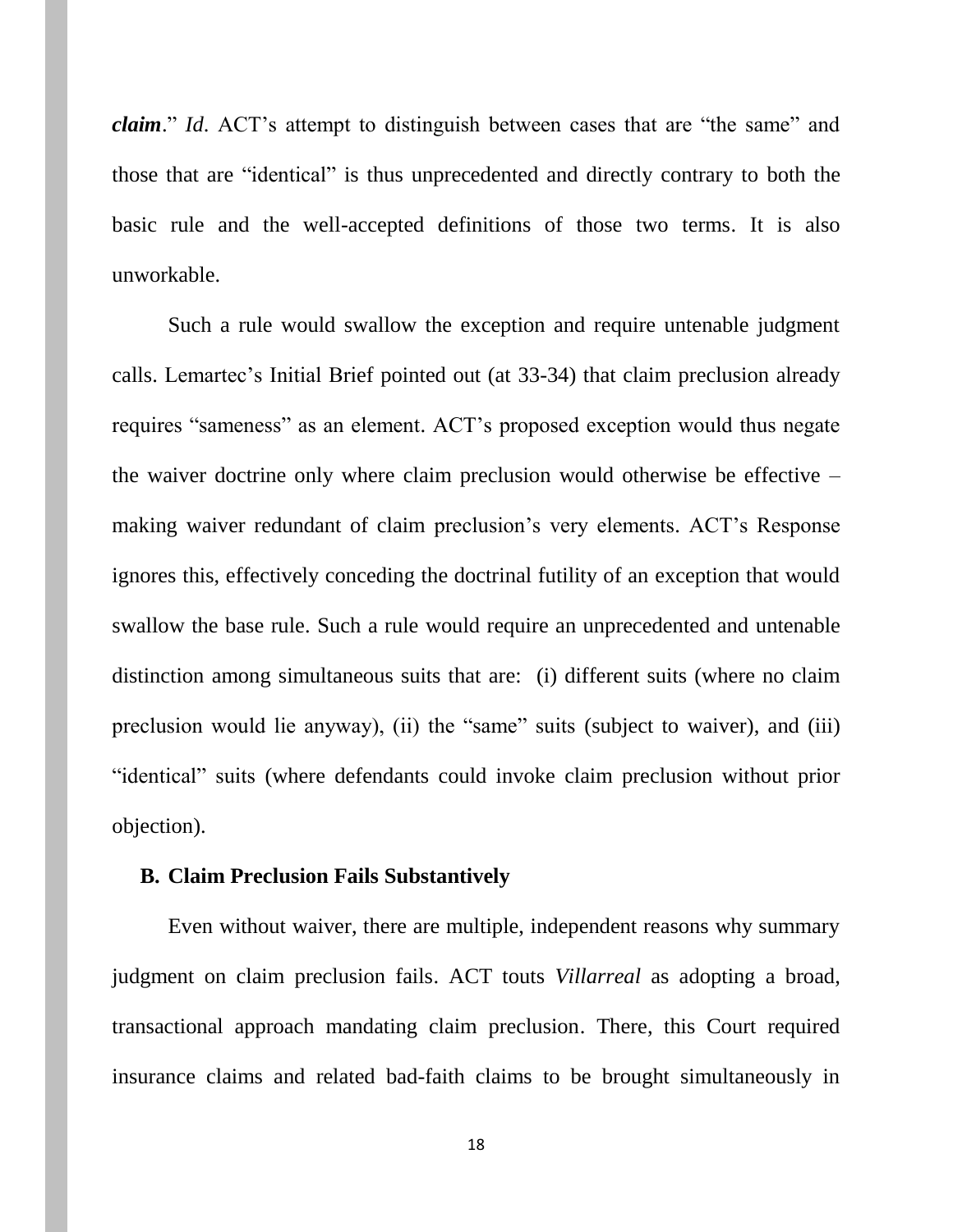*claim*." *Id*. ACT's attempt to distinguish between cases that are "the same" and those that are "identical" is thus unprecedented and directly contrary to both the basic rule and the well-accepted definitions of those two terms. It is also unworkable.

Such a rule would swallow the exception and require untenable judgment calls. Lemartec's Initial Brief pointed out (at 33-34) that claim preclusion already requires "sameness" as an element. ACT's proposed exception would thus negate the waiver doctrine only where claim preclusion would otherwise be effective – making waiver redundant of claim preclusion's very elements. ACT's Response ignores this, effectively conceding the doctrinal futility of an exception that would swallow the base rule. Such a rule would require an unprecedented and untenable distinction among simultaneous suits that are: (i) different suits (where no claim preclusion would lie anyway), (ii) the "same" suits (subject to waiver), and (iii) "identical" suits (where defendants could invoke claim preclusion without prior objection).

#### **B. Claim Preclusion Fails Substantively**

Even without waiver, there are multiple, independent reasons why summary judgment on claim preclusion fails. ACT touts *Villarreal* as adopting a broad, transactional approach mandating claim preclusion. There, this Court required insurance claims and related bad-faith claims to be brought simultaneously in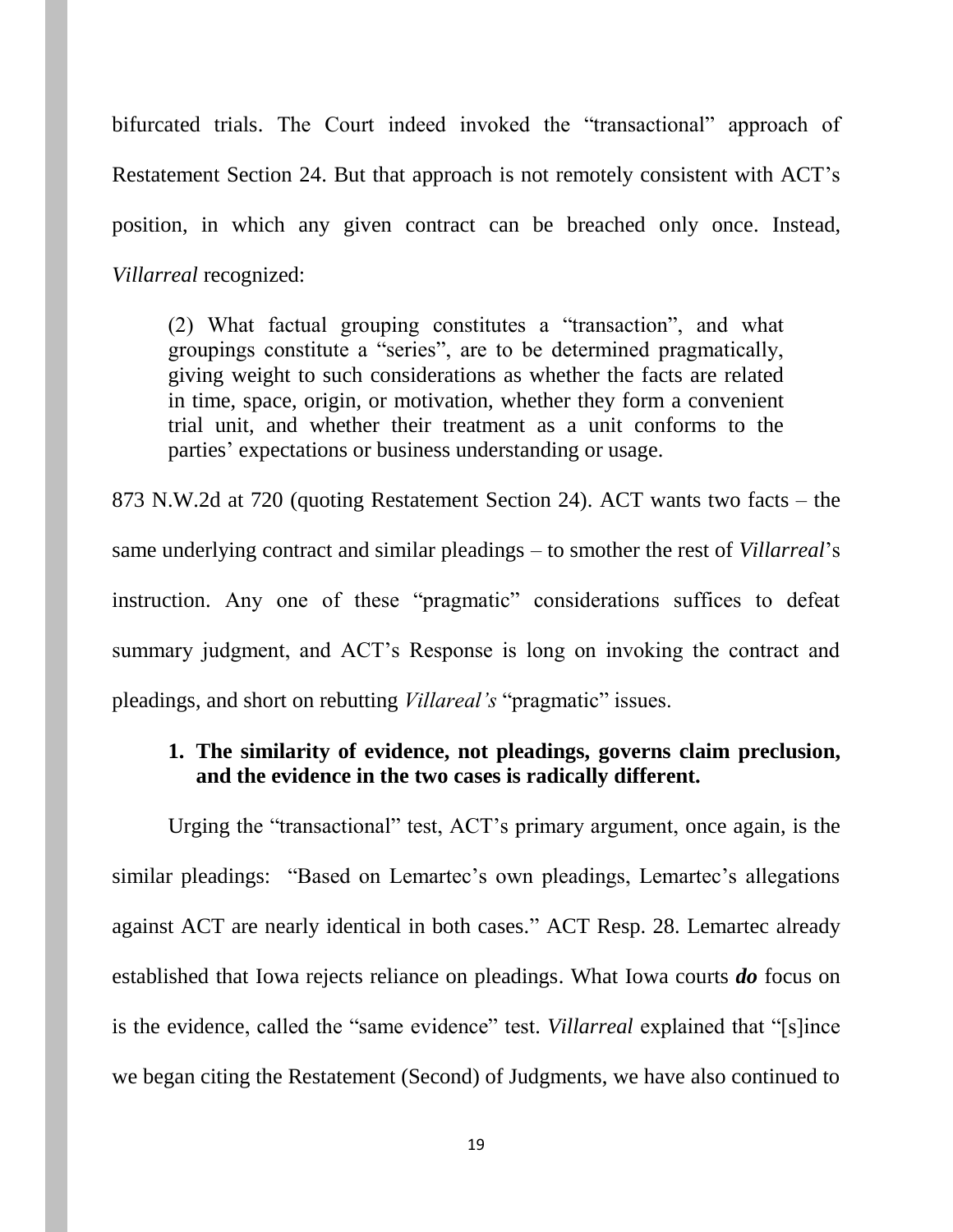bifurcated trials. The Court indeed invoked the "transactional" approach of Restatement Section 24. But that approach is not remotely consistent with ACT's position, in which any given contract can be breached only once. Instead, *Villarreal* recognized:

(2) What factual grouping constitutes a "transaction", and what groupings constitute a "series", are to be determined pragmatically, giving weight to such considerations as whether the facts are related in time, space, origin, or motivation, whether they form a convenient trial unit, and whether their treatment as a unit conforms to the parties' expectations or business understanding or usage.

873 N.W.2d at 720 (quoting Restatement Section 24). ACT wants two facts – the same underlying contract and similar pleadings – to smother the rest of *Villarreal*'s instruction. Any one of these "pragmatic" considerations suffices to defeat summary judgment, and ACT's Response is long on invoking the contract and pleadings, and short on rebutting *Villareal's* "pragmatic" issues.

### **1. The similarity of evidence, not pleadings, governs claim preclusion, and the evidence in the two cases is radically different.**

Urging the "transactional" test, ACT's primary argument, once again, is the similar pleadings: "Based on Lemartec's own pleadings, Lemartec's allegations against ACT are nearly identical in both cases." ACT Resp. 28. Lemartec already established that Iowa rejects reliance on pleadings. What Iowa courts *do* focus on is the evidence, called the "same evidence" test. *Villarreal* explained that "[s]ince we began citing the Restatement (Second) of Judgments, we have also continued to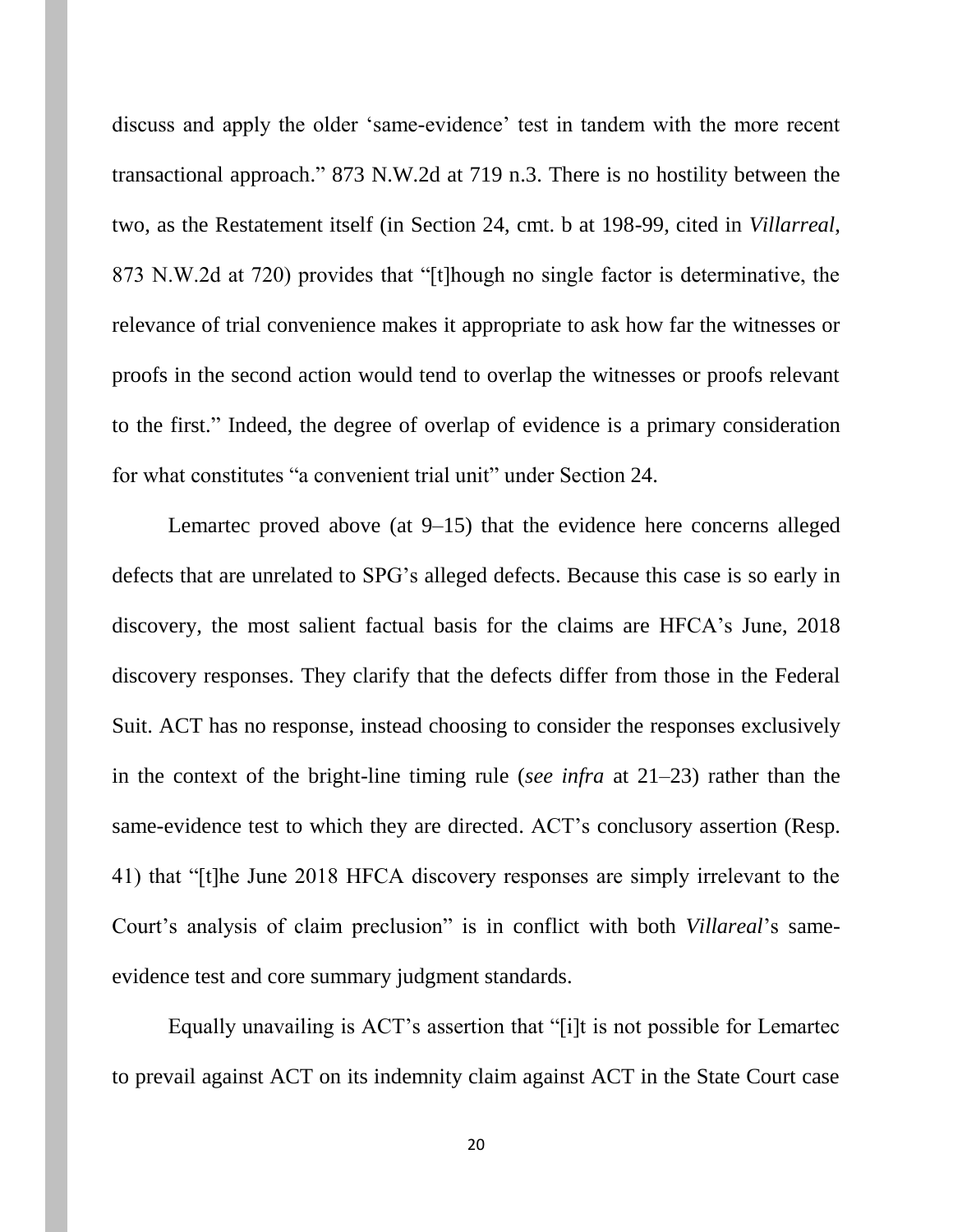discuss and apply the older 'same-evidence' test in tandem with the more recent transactional approach." 873 N.W.2d at 719 n.3. There is no hostility between the two, as the Restatement itself (in Section 24, cmt. b at 198-99, cited in *Villarreal*, 873 N.W.2d at 720) provides that "[t]hough no single factor is determinative, the relevance of trial convenience makes it appropriate to ask how far the witnesses or proofs in the second action would tend to overlap the witnesses or proofs relevant to the first." Indeed, the degree of overlap of evidence is a primary consideration for what constitutes "a convenient trial unit" under Section 24.

Lemartec proved above (at 9–15) that the evidence here concerns alleged defects that are unrelated to SPG's alleged defects. Because this case is so early in discovery, the most salient factual basis for the claims are HFCA's June, 2018 discovery responses. They clarify that the defects differ from those in the Federal Suit. ACT has no response, instead choosing to consider the responses exclusively in the context of the bright-line timing rule (*see infra* at 21–23) rather than the same-evidence test to which they are directed. ACT's conclusory assertion (Resp. 41) that "[t]he June 2018 HFCA discovery responses are simply irrelevant to the Court's analysis of claim preclusion" is in conflict with both *Villareal*'s sameevidence test and core summary judgment standards.

Equally unavailing is ACT's assertion that "[i]t is not possible for Lemartec to prevail against ACT on its indemnity claim against ACT in the State Court case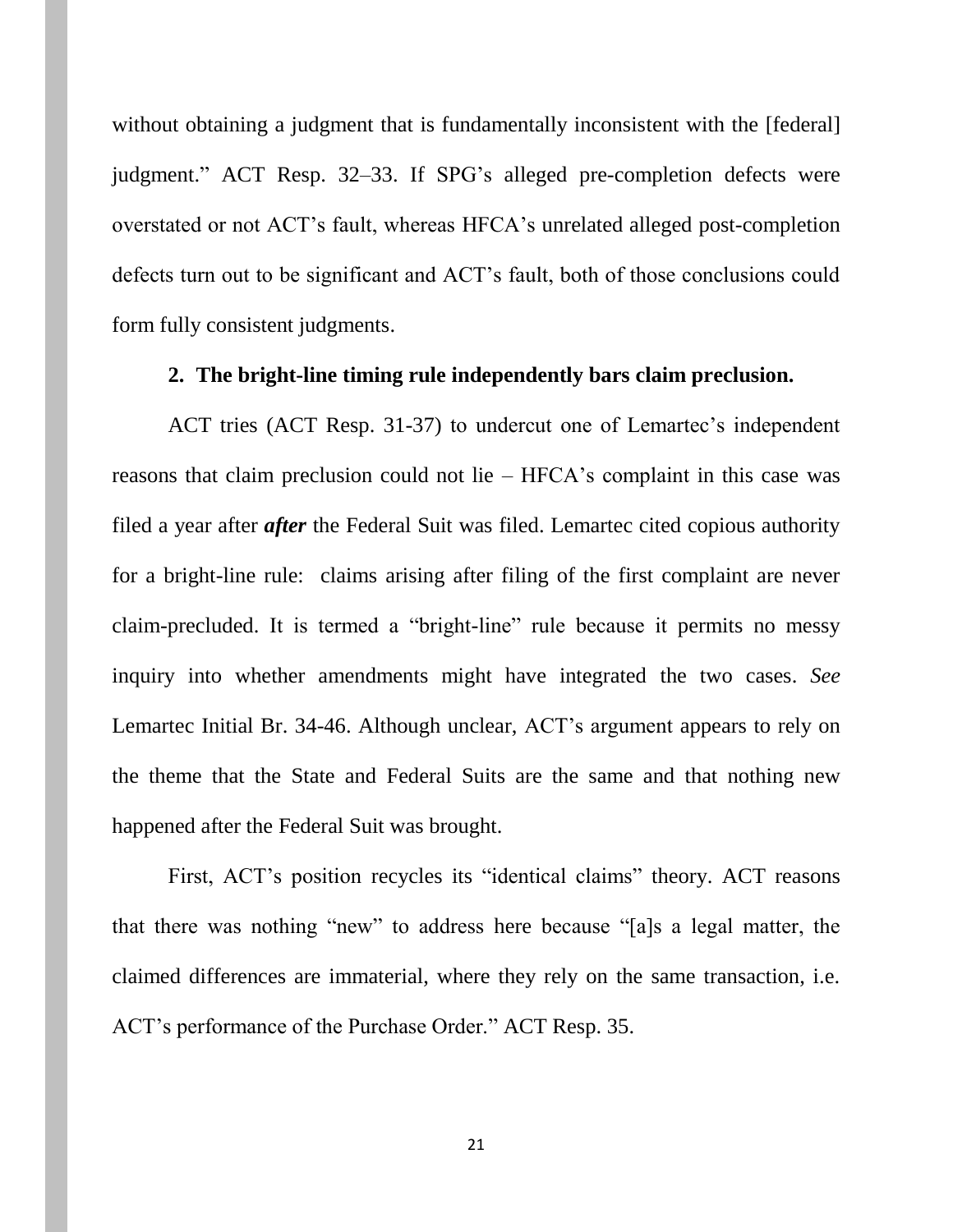without obtaining a judgment that is fundamentally inconsistent with the [federal] judgment." ACT Resp. 32–33. If SPG's alleged pre-completion defects were overstated or not ACT's fault, whereas HFCA's unrelated alleged post-completion defects turn out to be significant and ACT's fault, both of those conclusions could form fully consistent judgments.

#### **2. The bright-line timing rule independently bars claim preclusion.**

ACT tries (ACT Resp. 31-37) to undercut one of Lemartec's independent reasons that claim preclusion could not lie – HFCA's complaint in this case was filed a year after *after* the Federal Suit was filed. Lemartec cited copious authority for a bright-line rule: claims arising after filing of the first complaint are never claim-precluded. It is termed a "bright-line" rule because it permits no messy inquiry into whether amendments might have integrated the two cases. *See* Lemartec Initial Br. 34-46. Although unclear, ACT's argument appears to rely on the theme that the State and Federal Suits are the same and that nothing new happened after the Federal Suit was brought.

First, ACT's position recycles its "identical claims" theory. ACT reasons that there was nothing "new" to address here because "[a]s a legal matter, the claimed differences are immaterial, where they rely on the same transaction, i.e. ACT's performance of the Purchase Order." ACT Resp. 35.

21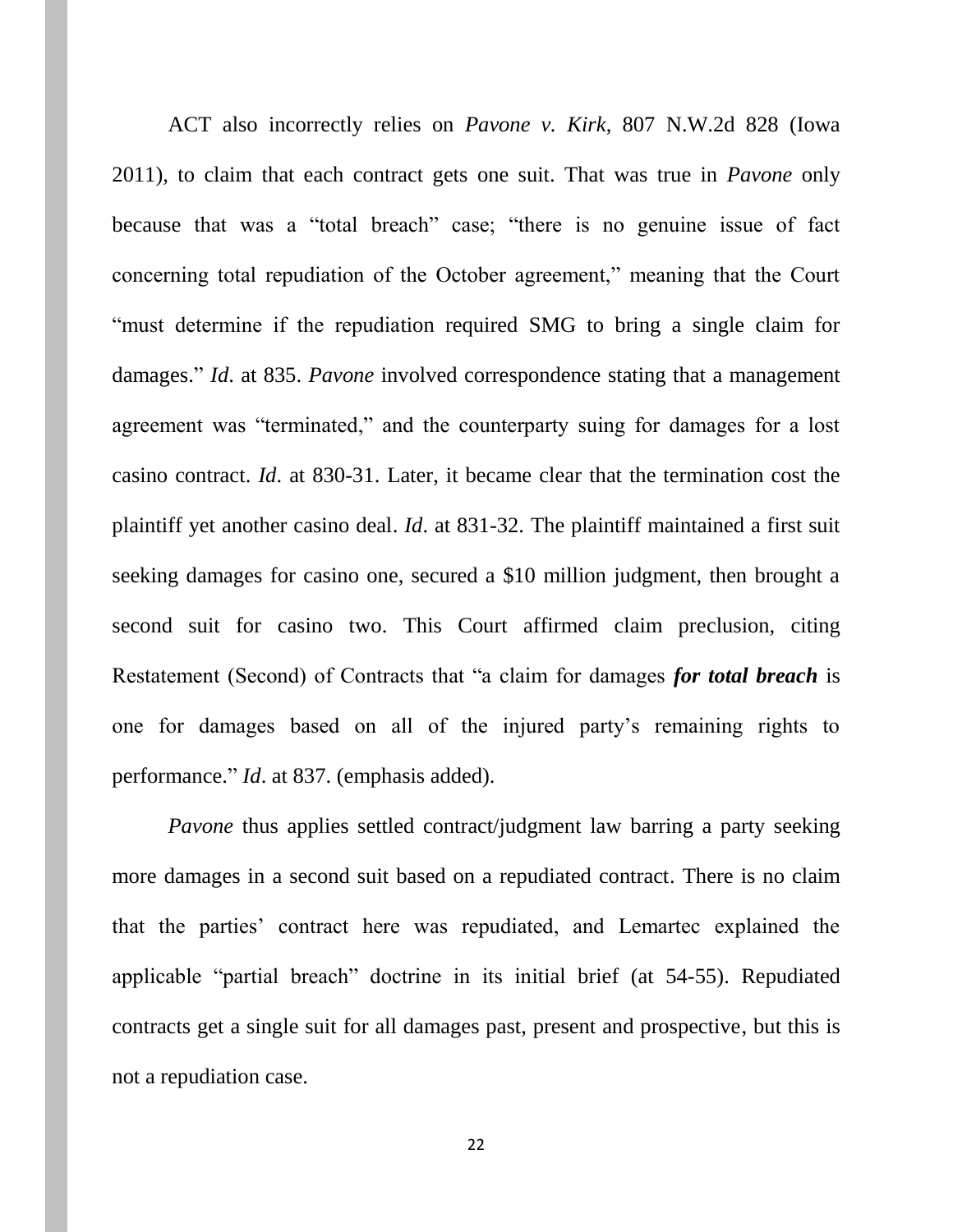ACT also incorrectly relies on *Pavone v. Kirk*, 807 N.W.2d 828 (Iowa 2011), to claim that each contract gets one suit. That was true in *Pavone* only because that was a "total breach" case; "there is no genuine issue of fact concerning total repudiation of the October agreement," meaning that the Court "must determine if the repudiation required SMG to bring a single claim for damages." *Id*. at 835. *Pavone* involved correspondence stating that a management agreement was "terminated," and the counterparty suing for damages for a lost casino contract. *Id*. at 830-31. Later, it became clear that the termination cost the plaintiff yet another casino deal. *Id*. at 831-32. The plaintiff maintained a first suit seeking damages for casino one, secured a \$10 million judgment, then brought a second suit for casino two. This Court affirmed claim preclusion, citing Restatement (Second) of Contracts that "a claim for damages *for total breach* is one for damages based on all of the injured party's remaining rights to performance." *Id*. at 837. (emphasis added).

*Pavone* thus applies settled contract/judgment law barring a party seeking more damages in a second suit based on a repudiated contract. There is no claim that the parties' contract here was repudiated, and Lemartec explained the applicable "partial breach" doctrine in its initial brief (at 54-55). Repudiated contracts get a single suit for all damages past, present and prospective, but this is not a repudiation case.

22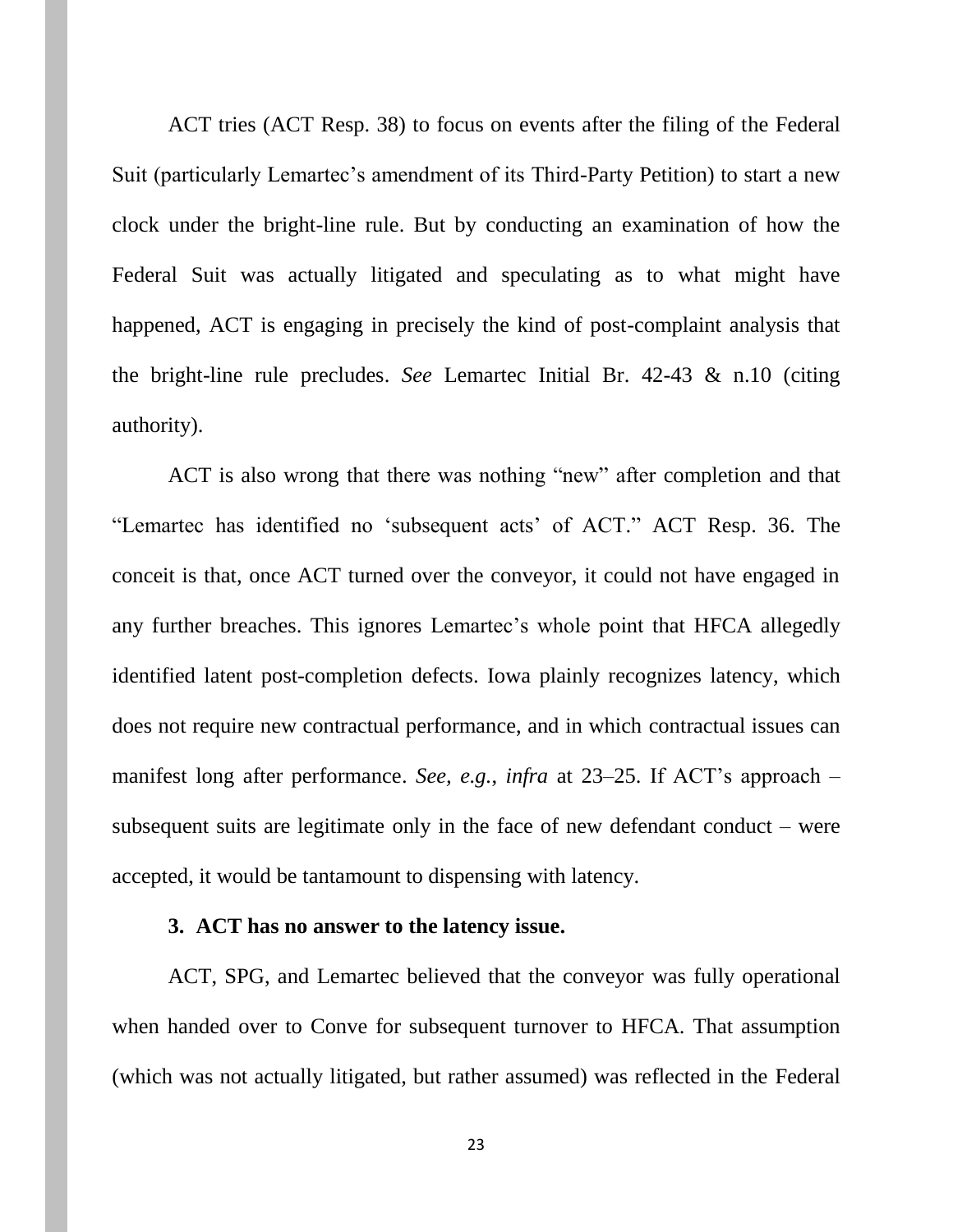ACT tries (ACT Resp. 38) to focus on events after the filing of the Federal Suit (particularly Lemartec's amendment of its Third-Party Petition) to start a new clock under the bright-line rule. But by conducting an examination of how the Federal Suit was actually litigated and speculating as to what might have happened, ACT is engaging in precisely the kind of post-complaint analysis that the bright-line rule precludes. *See* Lemartec Initial Br. 42-43 & n.10 (citing authority).

ACT is also wrong that there was nothing "new" after completion and that "Lemartec has identified no 'subsequent acts' of ACT." ACT Resp. 36. The conceit is that, once ACT turned over the conveyor, it could not have engaged in any further breaches. This ignores Lemartec's whole point that HFCA allegedly identified latent post-completion defects. Iowa plainly recognizes latency, which does not require new contractual performance, and in which contractual issues can manifest long after performance. *See, e.g.*, *infra* at 23–25. If ACT's approach – subsequent suits are legitimate only in the face of new defendant conduct – were accepted, it would be tantamount to dispensing with latency.

#### **3. ACT has no answer to the latency issue.**

ACT, SPG, and Lemartec believed that the conveyor was fully operational when handed over to Conve for subsequent turnover to HFCA. That assumption (which was not actually litigated, but rather assumed) was reflected in the Federal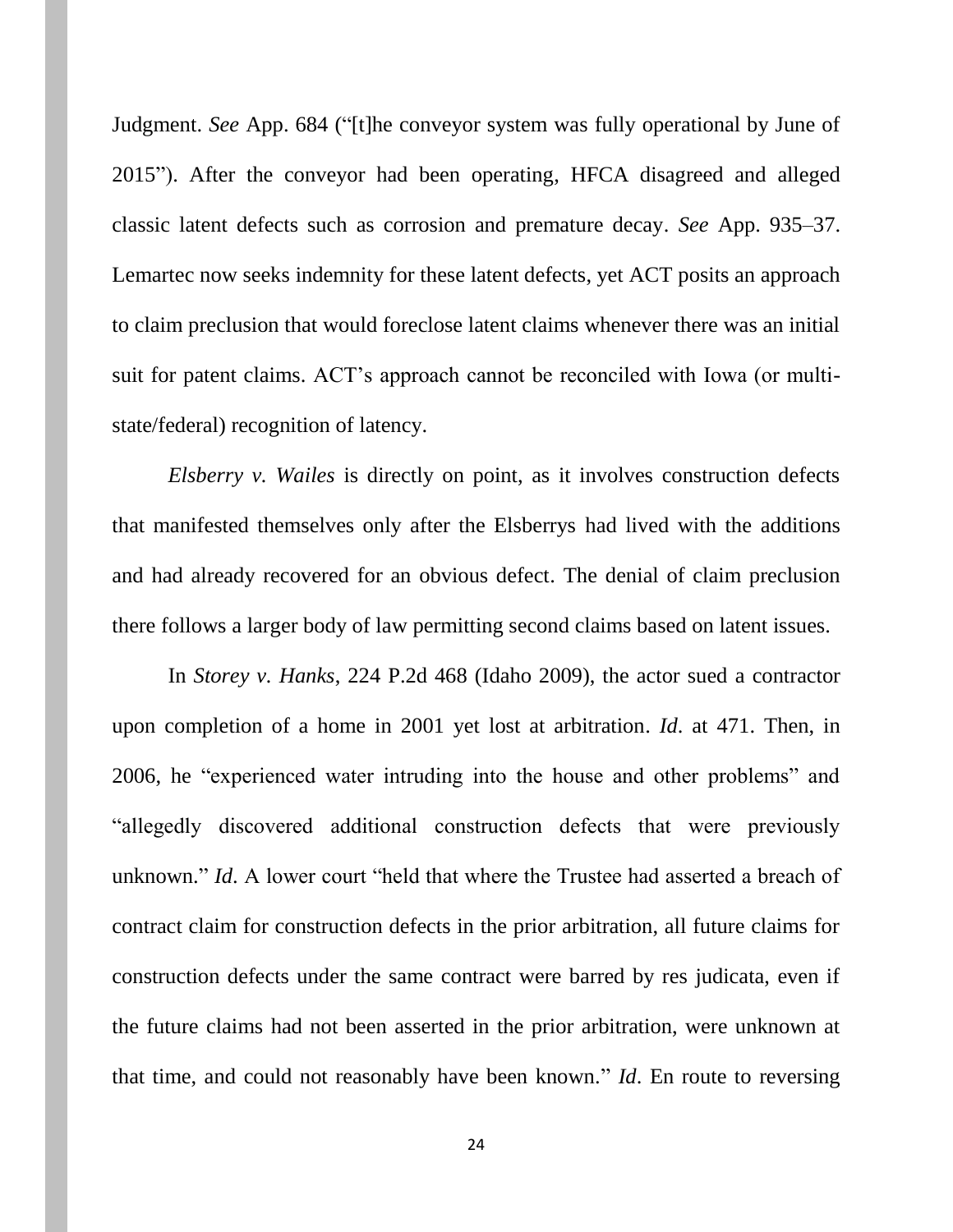Judgment. *See* App. 684 ("[t]he conveyor system was fully operational by June of 2015"). After the conveyor had been operating, HFCA disagreed and alleged classic latent defects such as corrosion and premature decay. *See* App. 935–37. Lemartec now seeks indemnity for these latent defects, yet ACT posits an approach to claim preclusion that would foreclose latent claims whenever there was an initial suit for patent claims. ACT's approach cannot be reconciled with Iowa (or multistate/federal) recognition of latency.

*Elsberry v. Wailes* is directly on point, as it involves construction defects that manifested themselves only after the Elsberrys had lived with the additions and had already recovered for an obvious defect. The denial of claim preclusion there follows a larger body of law permitting second claims based on latent issues.

In *Storey v. Hanks*, 224 P.2d 468 (Idaho 2009), the actor sued a contractor upon completion of a home in 2001 yet lost at arbitration. *Id*. at 471. Then, in 2006, he "experienced water intruding into the house and other problems" and "allegedly discovered additional construction defects that were previously unknown." *Id*. A lower court "held that where the Trustee had asserted a breach of contract claim for construction defects in the prior arbitration, all future claims for construction defects under the same contract were barred by res judicata, even if the future claims had not been asserted in the prior arbitration, were unknown at that time, and could not reasonably have been known." *Id*. En route to reversing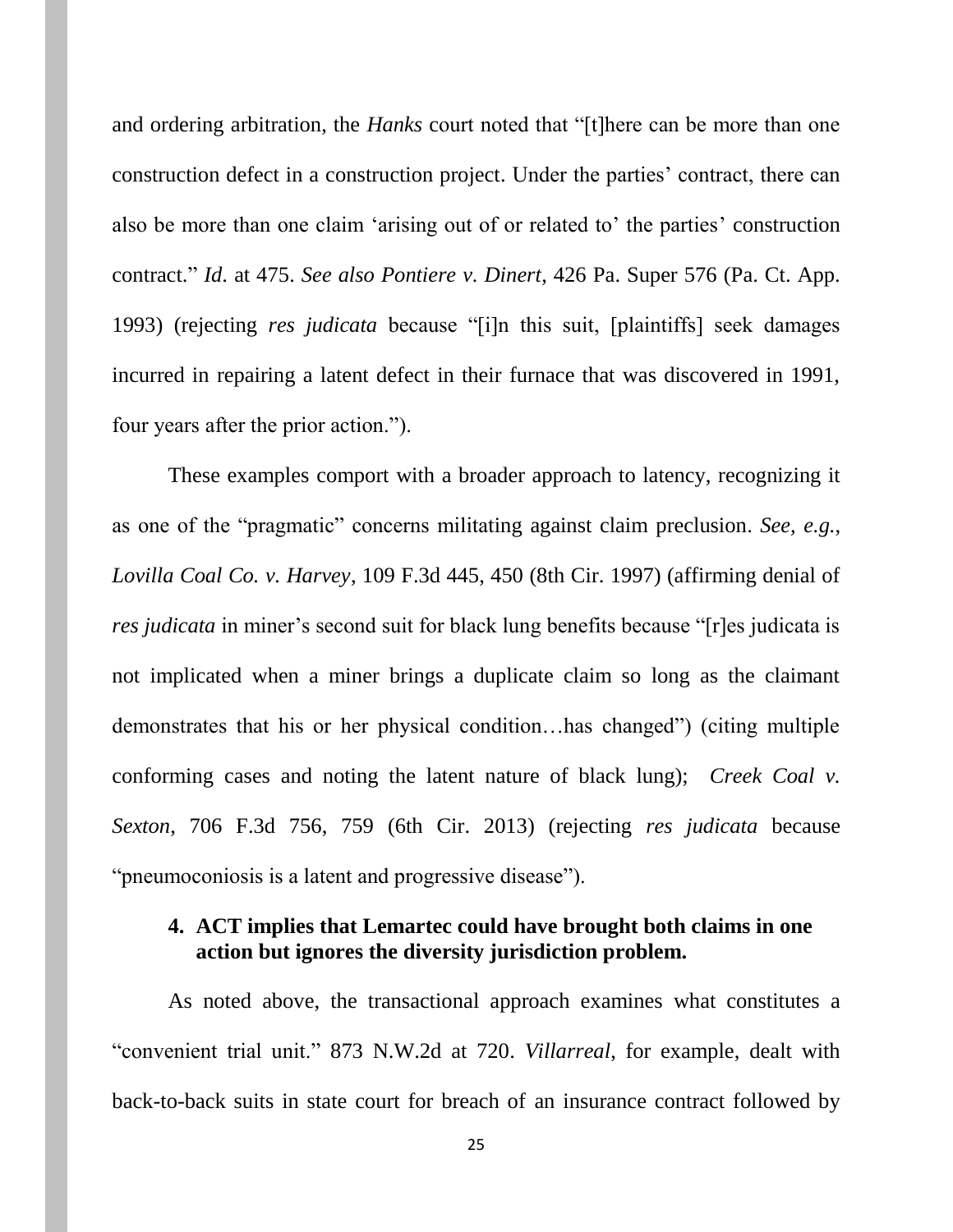and ordering arbitration, the *Hanks* court noted that "[t]here can be more than one construction defect in a construction project. Under the parties' contract, there can also be more than one claim 'arising out of or related to' the parties' construction contract." *Id*. at 475. *See also Pontiere v. Dinert*, 426 Pa. Super 576 (Pa. Ct. App. 1993) (rejecting *res judicata* because "[i]n this suit, [plaintiffs] seek damages incurred in repairing a latent defect in their furnace that was discovered in 1991, four years after the prior action.").

These examples comport with a broader approach to latency, recognizing it as one of the "pragmatic" concerns militating against claim preclusion. *See, e.g.*, *Lovilla Coal Co. v. Harvey*, 109 F.3d 445, 450 (8th Cir. 1997) (affirming denial of *res judicata* in miner's second suit for black lung benefits because "[r]es judicata is not implicated when a miner brings a duplicate claim so long as the claimant demonstrates that his or her physical condition…has changed") (citing multiple conforming cases and noting the latent nature of black lung); *Creek Coal v. Sexton*, 706 F.3d 756, 759 (6th Cir. 2013) (rejecting *res judicata* because "pneumoconiosis is a latent and progressive disease").

# **4. ACT implies that Lemartec could have brought both claims in one action but ignores the diversity jurisdiction problem.**

As noted above, the transactional approach examines what constitutes a "convenient trial unit." 873 N.W.2d at 720. *Villarreal*, for example, dealt with back-to-back suits in state court for breach of an insurance contract followed by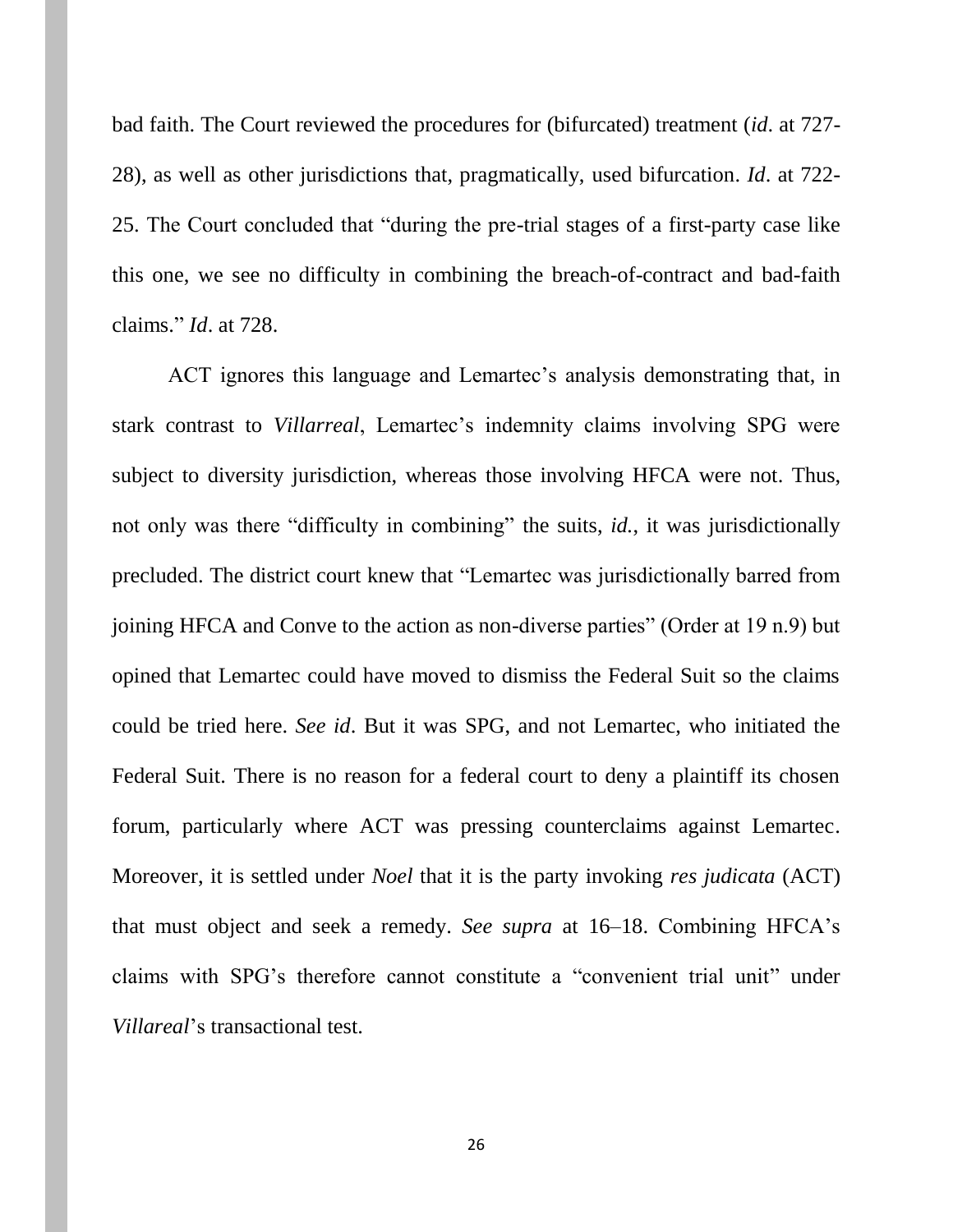bad faith. The Court reviewed the procedures for (bifurcated) treatment (*id*. at 727- 28), as well as other jurisdictions that, pragmatically, used bifurcation. *Id*. at 722- 25. The Court concluded that "during the pre-trial stages of a first-party case like this one, we see no difficulty in combining the breach-of-contract and bad-faith claims." *Id*. at 728.

ACT ignores this language and Lemartec's analysis demonstrating that, in stark contrast to *Villarreal*, Lemartec's indemnity claims involving SPG were subject to diversity jurisdiction, whereas those involving HFCA were not. Thus, not only was there "difficulty in combining" the suits, *id.*, it was jurisdictionally precluded. The district court knew that "Lemartec was jurisdictionally barred from joining HFCA and Conve to the action as non-diverse parties" (Order at 19 n.9) but opined that Lemartec could have moved to dismiss the Federal Suit so the claims could be tried here. *See id*. But it was SPG, and not Lemartec, who initiated the Federal Suit. There is no reason for a federal court to deny a plaintiff its chosen forum, particularly where ACT was pressing counterclaims against Lemartec. Moreover, it is settled under *Noel* that it is the party invoking *res judicata* (ACT) that must object and seek a remedy. *See supra* at 16–18. Combining HFCA's claims with SPG's therefore cannot constitute a "convenient trial unit" under *Villareal*'s transactional test.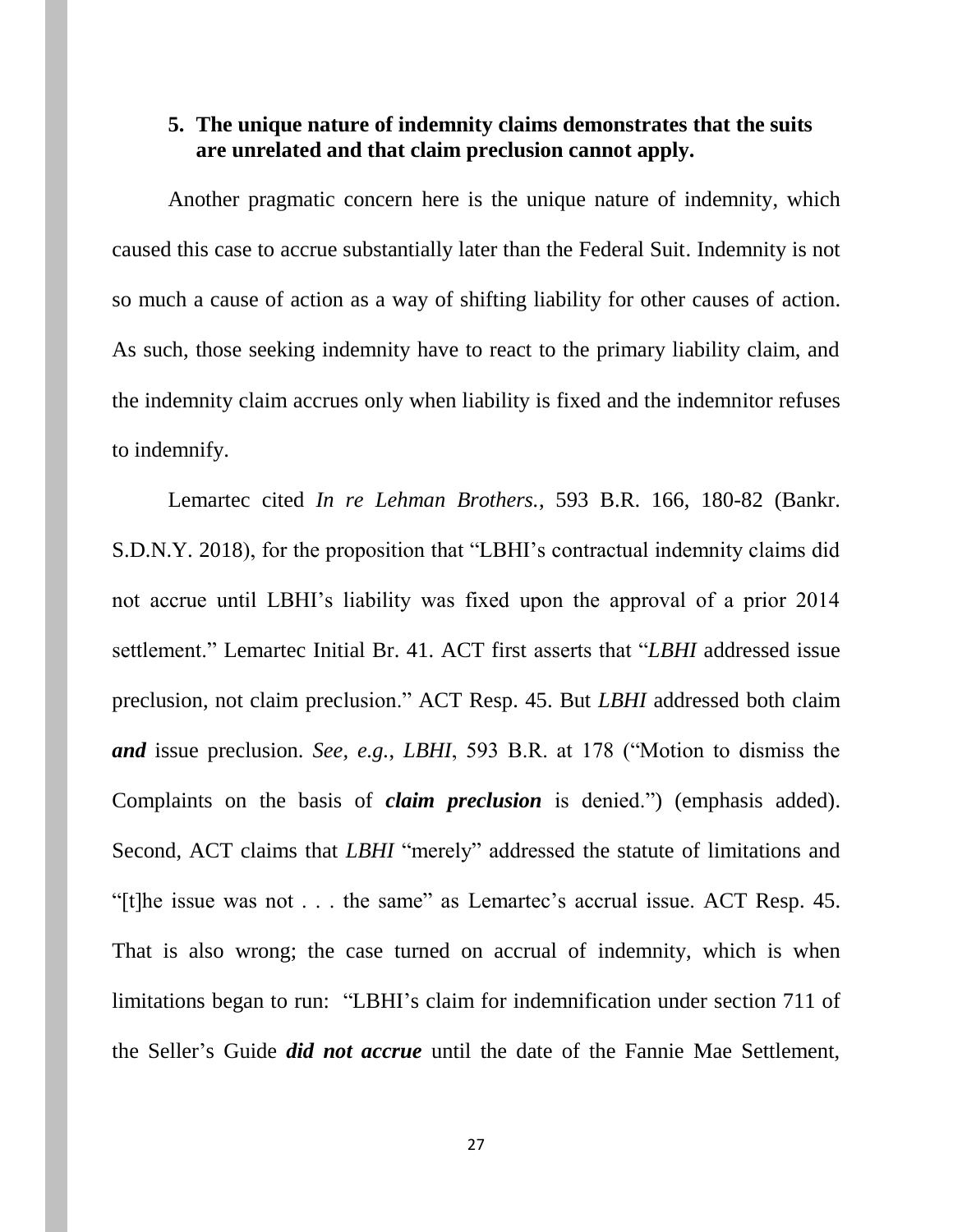### **5. The unique nature of indemnity claims demonstrates that the suits are unrelated and that claim preclusion cannot apply.**

Another pragmatic concern here is the unique nature of indemnity, which caused this case to accrue substantially later than the Federal Suit. Indemnity is not so much a cause of action as a way of shifting liability for other causes of action. As such, those seeking indemnity have to react to the primary liability claim, and the indemnity claim accrues only when liability is fixed and the indemnitor refuses to indemnify.

Lemartec cited *In re Lehman Brothers.*, 593 B.R. 166, 180-82 (Bankr. S.D.N.Y. 2018), for the proposition that "LBHI's contractual indemnity claims did not accrue until LBHI's liability was fixed upon the approval of a prior 2014 settlement." Lemartec Initial Br. 41. ACT first asserts that "*LBHI* addressed issue preclusion, not claim preclusion." ACT Resp. 45. But *LBHI* addressed both claim *and* issue preclusion. *See, e.g.*, *LBHI*, 593 B.R. at 178 ("Motion to dismiss the Complaints on the basis of *claim preclusion* is denied.") (emphasis added). Second, ACT claims that *LBHI* "merely" addressed the statute of limitations and "[t]he issue was not . . . the same" as Lemartec's accrual issue. ACT Resp. 45. That is also wrong; the case turned on accrual of indemnity, which is when limitations began to run: "LBHI's claim for indemnification under section 711 of the Seller's Guide *did not accrue* until the date of the Fannie Mae Settlement,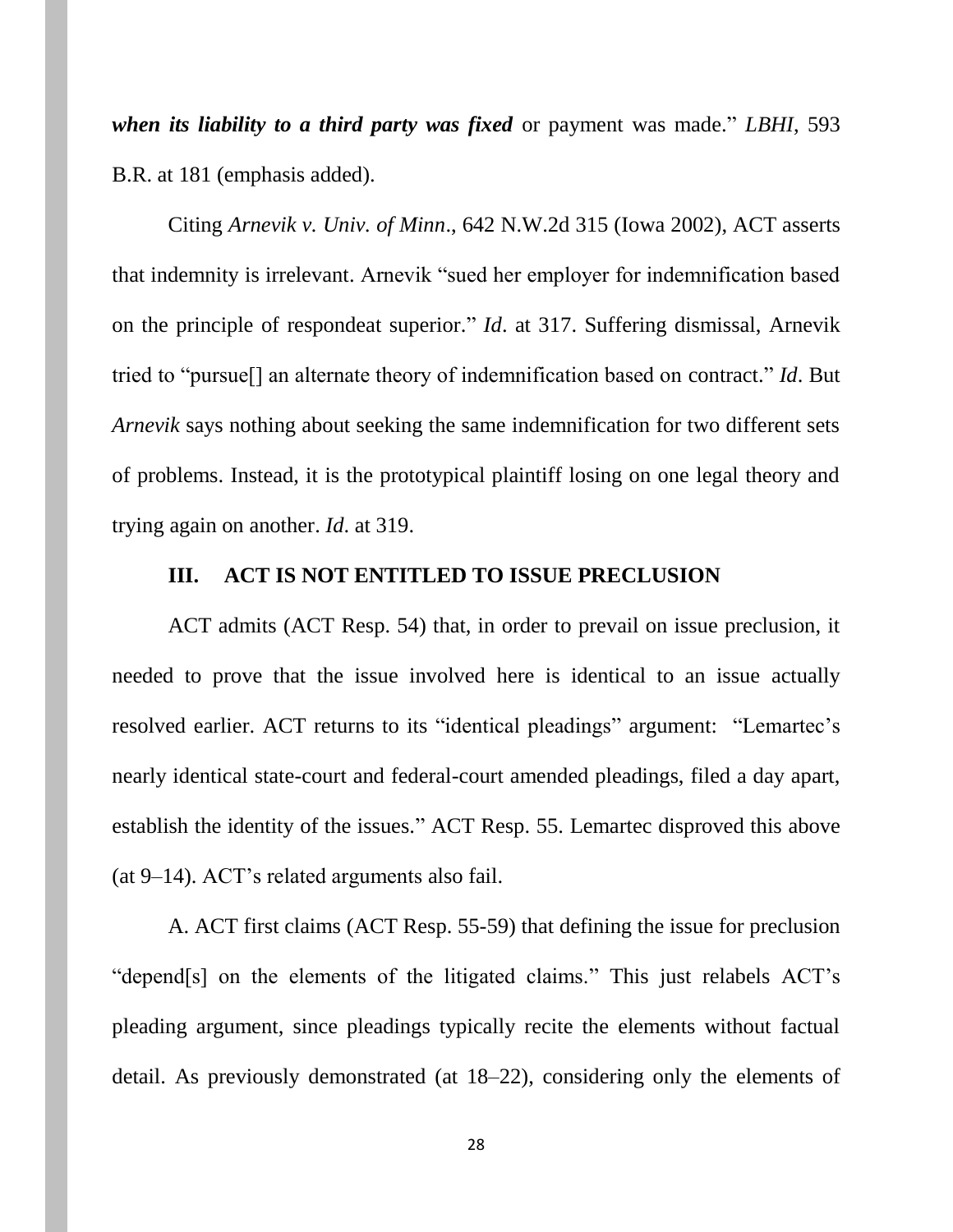*when its liability to a third party was fixed* or payment was made." *LBHI*, 593 B.R. at 181 (emphasis added).

Citing *Arnevik v. Univ. of Minn*., 642 N.W.2d 315 (Iowa 2002), ACT asserts that indemnity is irrelevant. Arnevik "sued her employer for indemnification based on the principle of respondeat superior." *Id*. at 317. Suffering dismissal, Arnevik tried to "pursue[] an alternate theory of indemnification based on contract." *Id*. But *Arnevik* says nothing about seeking the same indemnification for two different sets of problems. Instead, it is the prototypical plaintiff losing on one legal theory and trying again on another. *Id*. at 319.

#### **III. ACT IS NOT ENTITLED TO ISSUE PRECLUSION**

ACT admits (ACT Resp. 54) that, in order to prevail on issue preclusion, it needed to prove that the issue involved here is identical to an issue actually resolved earlier. ACT returns to its "identical pleadings" argument: "Lemartec's nearly identical state-court and federal-court amended pleadings, filed a day apart, establish the identity of the issues." ACT Resp. 55. Lemartec disproved this above (at 9–14). ACT's related arguments also fail.

A. ACT first claims (ACT Resp. 55-59) that defining the issue for preclusion "depend[s] on the elements of the litigated claims." This just relabels ACT's pleading argument, since pleadings typically recite the elements without factual detail. As previously demonstrated (at 18–22), considering only the elements of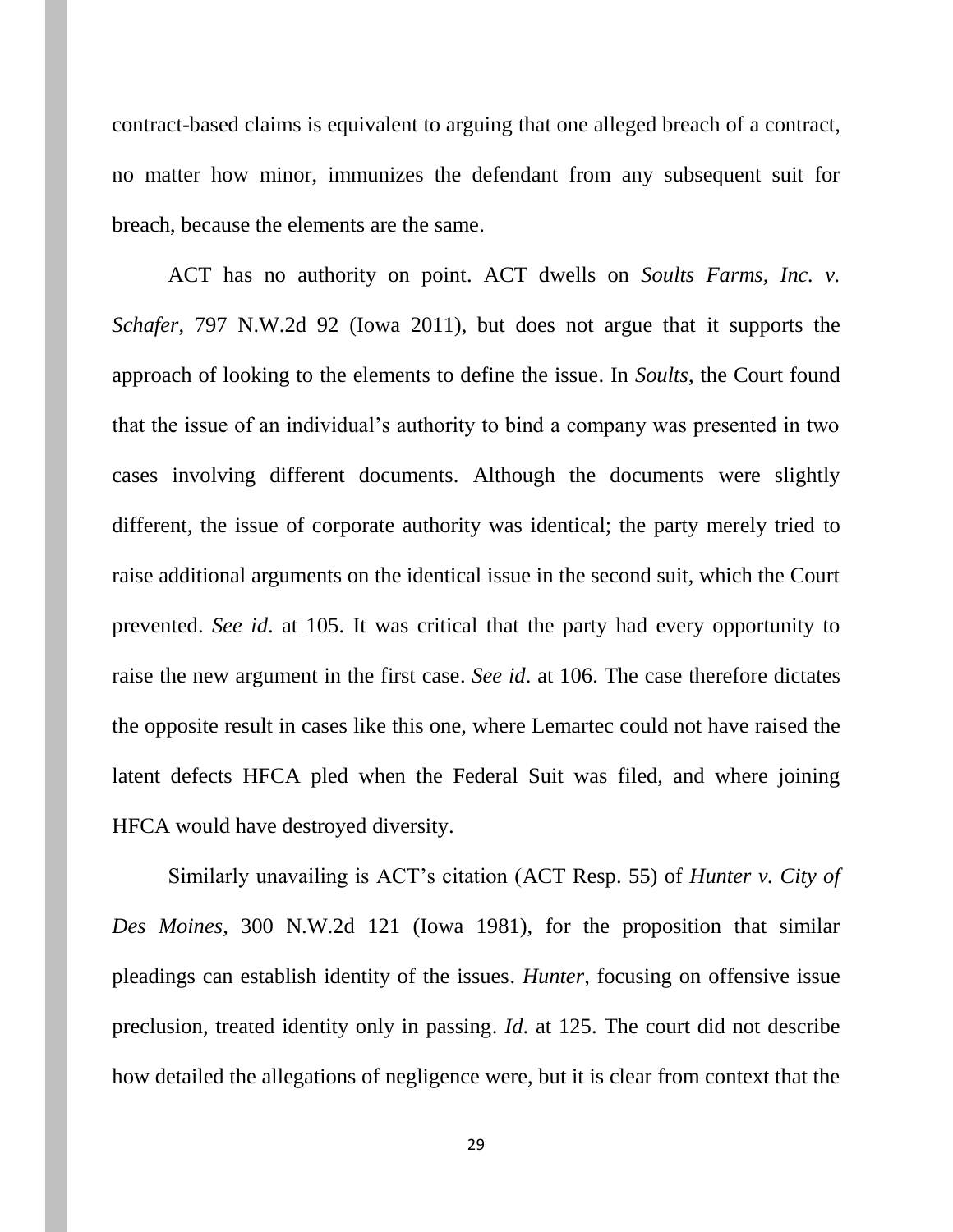contract-based claims is equivalent to arguing that one alleged breach of a contract, no matter how minor, immunizes the defendant from any subsequent suit for breach, because the elements are the same.

ACT has no authority on point. ACT dwells on *Soults Farms, Inc. v. Schafer*, 797 N.W.2d 92 (Iowa 2011), but does not argue that it supports the approach of looking to the elements to define the issue. In *Soults*, the Court found that the issue of an individual's authority to bind a company was presented in two cases involving different documents. Although the documents were slightly different, the issue of corporate authority was identical; the party merely tried to raise additional arguments on the identical issue in the second suit, which the Court prevented. *See id*. at 105. It was critical that the party had every opportunity to raise the new argument in the first case. *See id*. at 106. The case therefore dictates the opposite result in cases like this one, where Lemartec could not have raised the latent defects HFCA pled when the Federal Suit was filed, and where joining HFCA would have destroyed diversity.

Similarly unavailing is ACT's citation (ACT Resp. 55) of *Hunter v. City of Des Moines*, 300 N.W.2d 121 (Iowa 1981), for the proposition that similar pleadings can establish identity of the issues. *Hunter*, focusing on offensive issue preclusion, treated identity only in passing. *Id*. at 125. The court did not describe how detailed the allegations of negligence were, but it is clear from context that the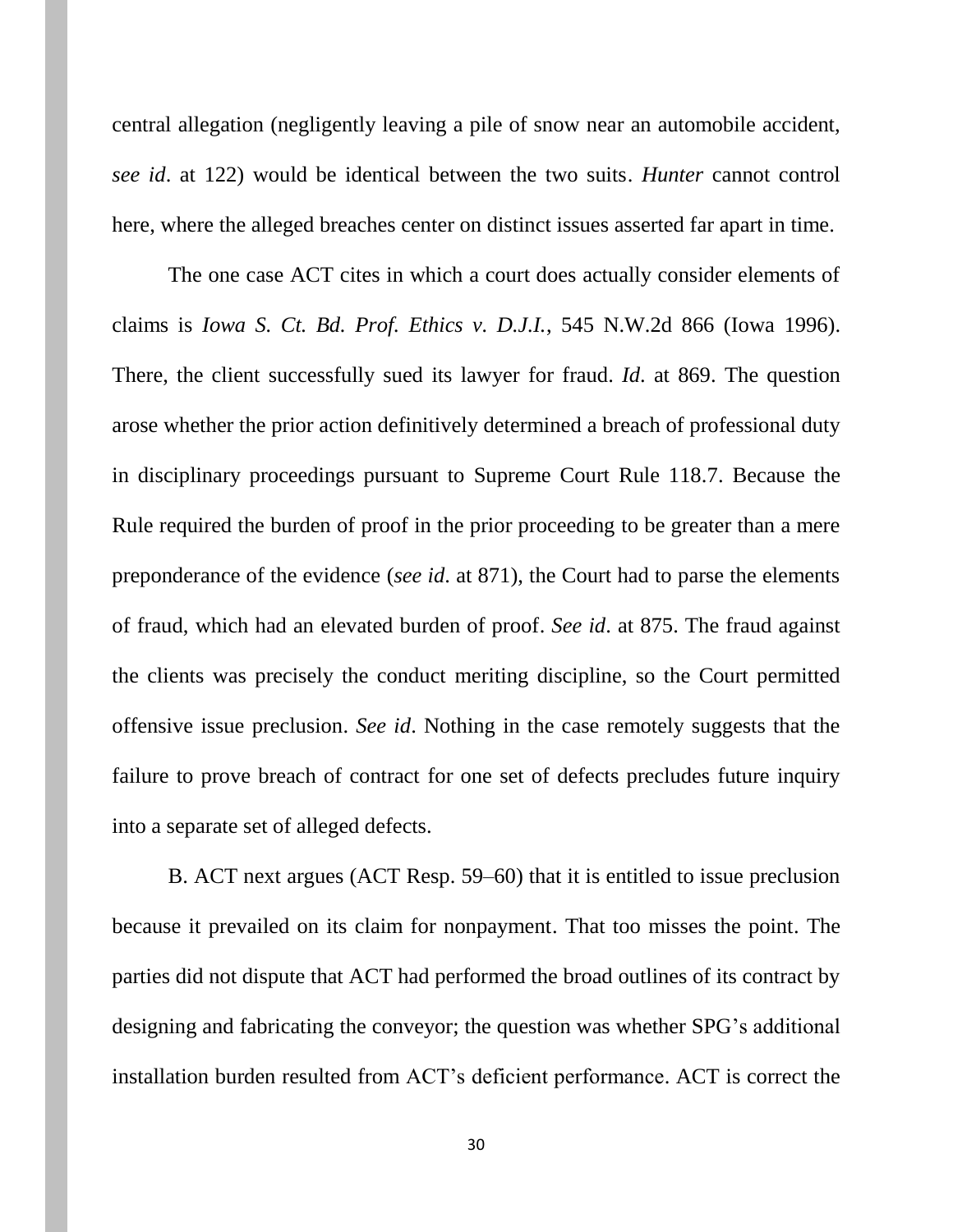central allegation (negligently leaving a pile of snow near an automobile accident, *see id*. at 122) would be identical between the two suits. *Hunter* cannot control here, where the alleged breaches center on distinct issues asserted far apart in time.

The one case ACT cites in which a court does actually consider elements of claims is *Iowa S. Ct. Bd. Prof. Ethics v. D.J.I.*, 545 N.W.2d 866 (Iowa 1996). There, the client successfully sued its lawyer for fraud. *Id*. at 869. The question arose whether the prior action definitively determined a breach of professional duty in disciplinary proceedings pursuant to Supreme Court Rule 118.7. Because the Rule required the burden of proof in the prior proceeding to be greater than a mere preponderance of the evidence (*see id*. at 871), the Court had to parse the elements of fraud, which had an elevated burden of proof. *See id*. at 875. The fraud against the clients was precisely the conduct meriting discipline, so the Court permitted offensive issue preclusion. *See id*. Nothing in the case remotely suggests that the failure to prove breach of contract for one set of defects precludes future inquiry into a separate set of alleged defects.

B. ACT next argues (ACT Resp. 59–60) that it is entitled to issue preclusion because it prevailed on its claim for nonpayment. That too misses the point. The parties did not dispute that ACT had performed the broad outlines of its contract by designing and fabricating the conveyor; the question was whether SPG's additional installation burden resulted from ACT's deficient performance. ACT is correct the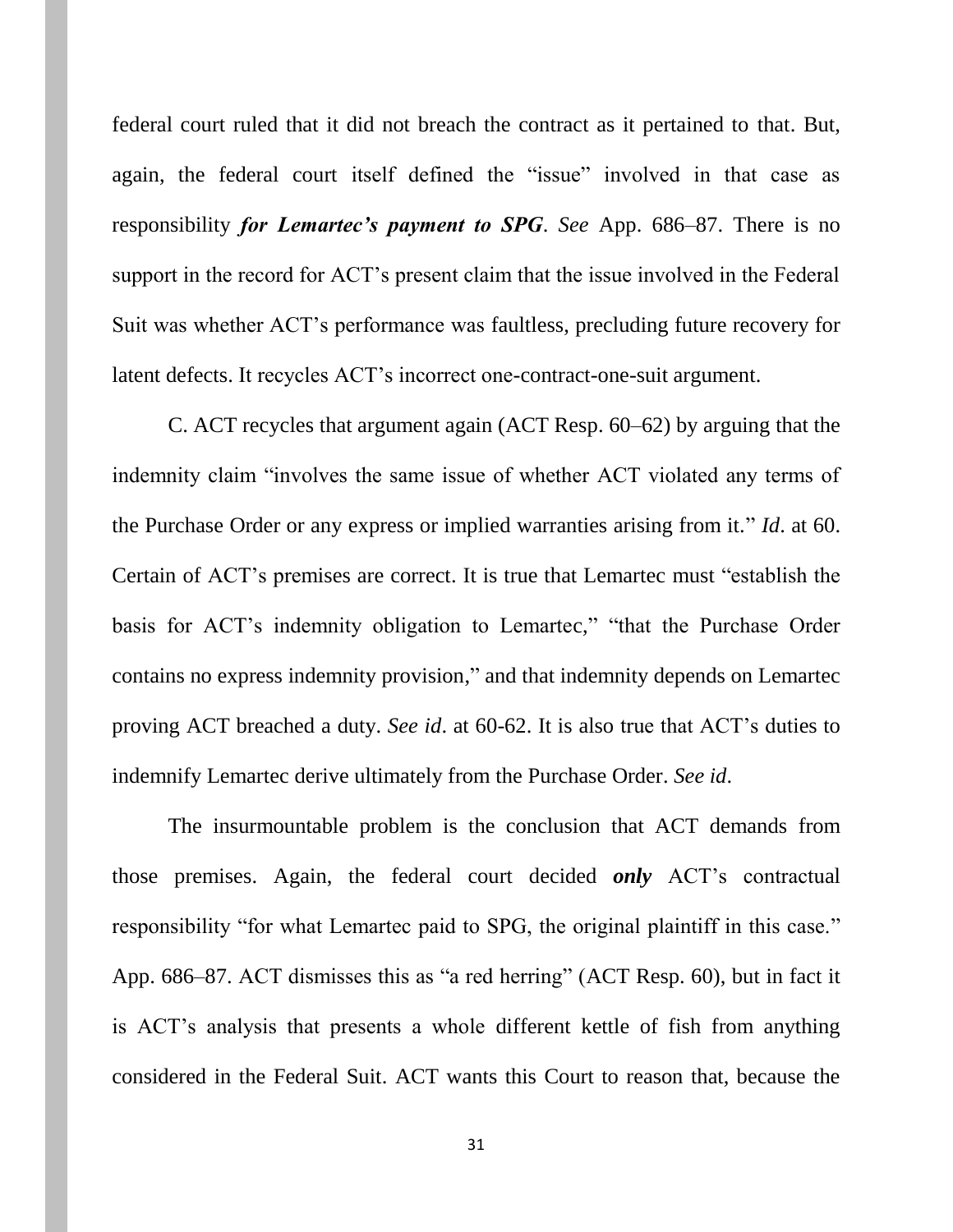federal court ruled that it did not breach the contract as it pertained to that. But, again, the federal court itself defined the "issue" involved in that case as responsibility *for Lemartec's payment to SPG*. *See* App. 686–87. There is no support in the record for ACT's present claim that the issue involved in the Federal Suit was whether ACT's performance was faultless, precluding future recovery for latent defects. It recycles ACT's incorrect one-contract-one-suit argument.

C. ACT recycles that argument again (ACT Resp. 60–62) by arguing that the indemnity claim "involves the same issue of whether ACT violated any terms of the Purchase Order or any express or implied warranties arising from it." *Id*. at 60. Certain of ACT's premises are correct. It is true that Lemartec must "establish the basis for ACT's indemnity obligation to Lemartec," "that the Purchase Order contains no express indemnity provision," and that indemnity depends on Lemartec proving ACT breached a duty. *See id*. at 60-62. It is also true that ACT's duties to indemnify Lemartec derive ultimately from the Purchase Order. *See id*.

The insurmountable problem is the conclusion that ACT demands from those premises. Again, the federal court decided *only* ACT's contractual responsibility "for what Lemartec paid to SPG, the original plaintiff in this case." App. 686–87. ACT dismisses this as "a red herring" (ACT Resp. 60), but in fact it is ACT's analysis that presents a whole different kettle of fish from anything considered in the Federal Suit. ACT wants this Court to reason that, because the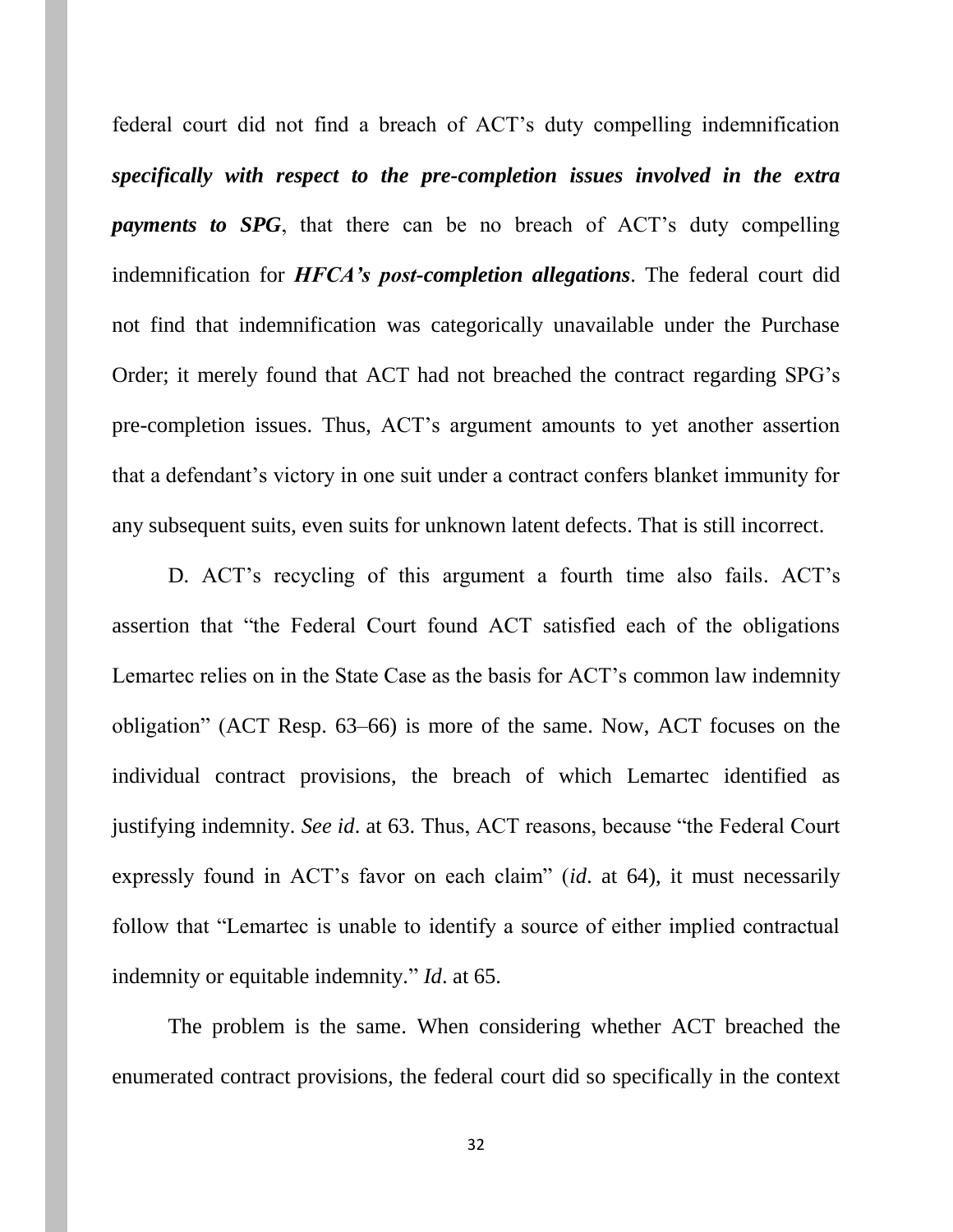federal court did not find a breach of ACT's duty compelling indemnification *specifically with respect to the pre-completion issues involved in the extra payments to SPG*, that there can be no breach of ACT's duty compelling indemnification for *HFCA's post-completion allegations*. The federal court did not find that indemnification was categorically unavailable under the Purchase Order; it merely found that ACT had not breached the contract regarding SPG's pre-completion issues. Thus, ACT's argument amounts to yet another assertion that a defendant's victory in one suit under a contract confers blanket immunity for any subsequent suits, even suits for unknown latent defects. That is still incorrect.

D. ACT's recycling of this argument a fourth time also fails. ACT's assertion that "the Federal Court found ACT satisfied each of the obligations Lemartec relies on in the State Case as the basis for ACT's common law indemnity obligation" (ACT Resp. 63–66) is more of the same. Now, ACT focuses on the individual contract provisions, the breach of which Lemartec identified as justifying indemnity. *See id*. at 63. Thus, ACT reasons, because "the Federal Court expressly found in ACT's favor on each claim" (*id*. at 64), it must necessarily follow that "Lemartec is unable to identify a source of either implied contractual indemnity or equitable indemnity." *Id*. at 65.

The problem is the same. When considering whether ACT breached the enumerated contract provisions, the federal court did so specifically in the context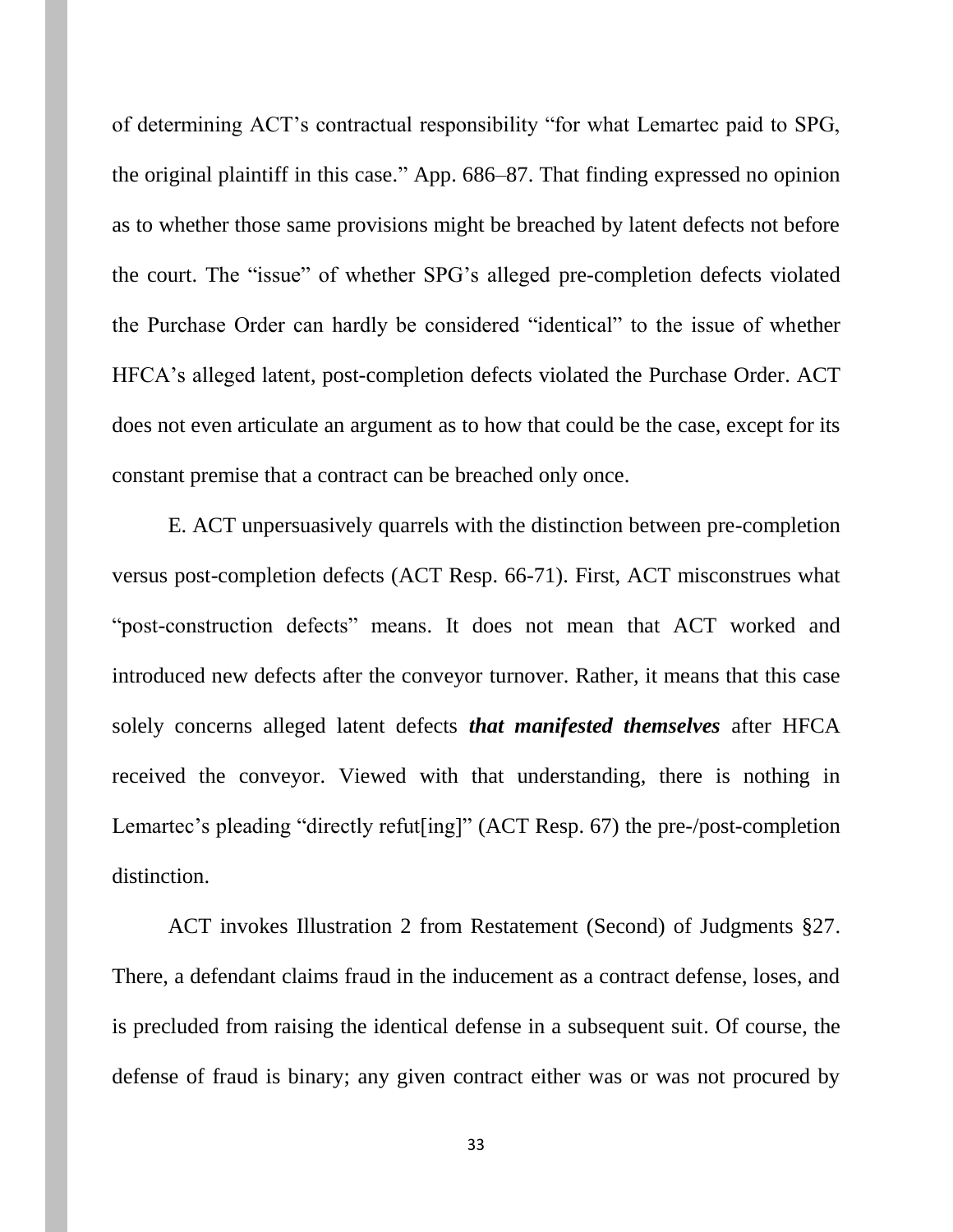of determining ACT's contractual responsibility "for what Lemartec paid to SPG, the original plaintiff in this case." App. 686–87. That finding expressed no opinion as to whether those same provisions might be breached by latent defects not before the court. The "issue" of whether SPG's alleged pre-completion defects violated the Purchase Order can hardly be considered "identical" to the issue of whether HFCA's alleged latent, post-completion defects violated the Purchase Order. ACT does not even articulate an argument as to how that could be the case, except for its constant premise that a contract can be breached only once.

E. ACT unpersuasively quarrels with the distinction between pre-completion versus post-completion defects (ACT Resp. 66-71). First, ACT misconstrues what "post-construction defects" means. It does not mean that ACT worked and introduced new defects after the conveyor turnover. Rather, it means that this case solely concerns alleged latent defects *that manifested themselves* after HFCA received the conveyor. Viewed with that understanding, there is nothing in Lemartec's pleading "directly refut[ing]" (ACT Resp. 67) the pre-/post-completion distinction.

ACT invokes Illustration 2 from Restatement (Second) of Judgments §27. There, a defendant claims fraud in the inducement as a contract defense, loses, and is precluded from raising the identical defense in a subsequent suit. Of course, the defense of fraud is binary; any given contract either was or was not procured by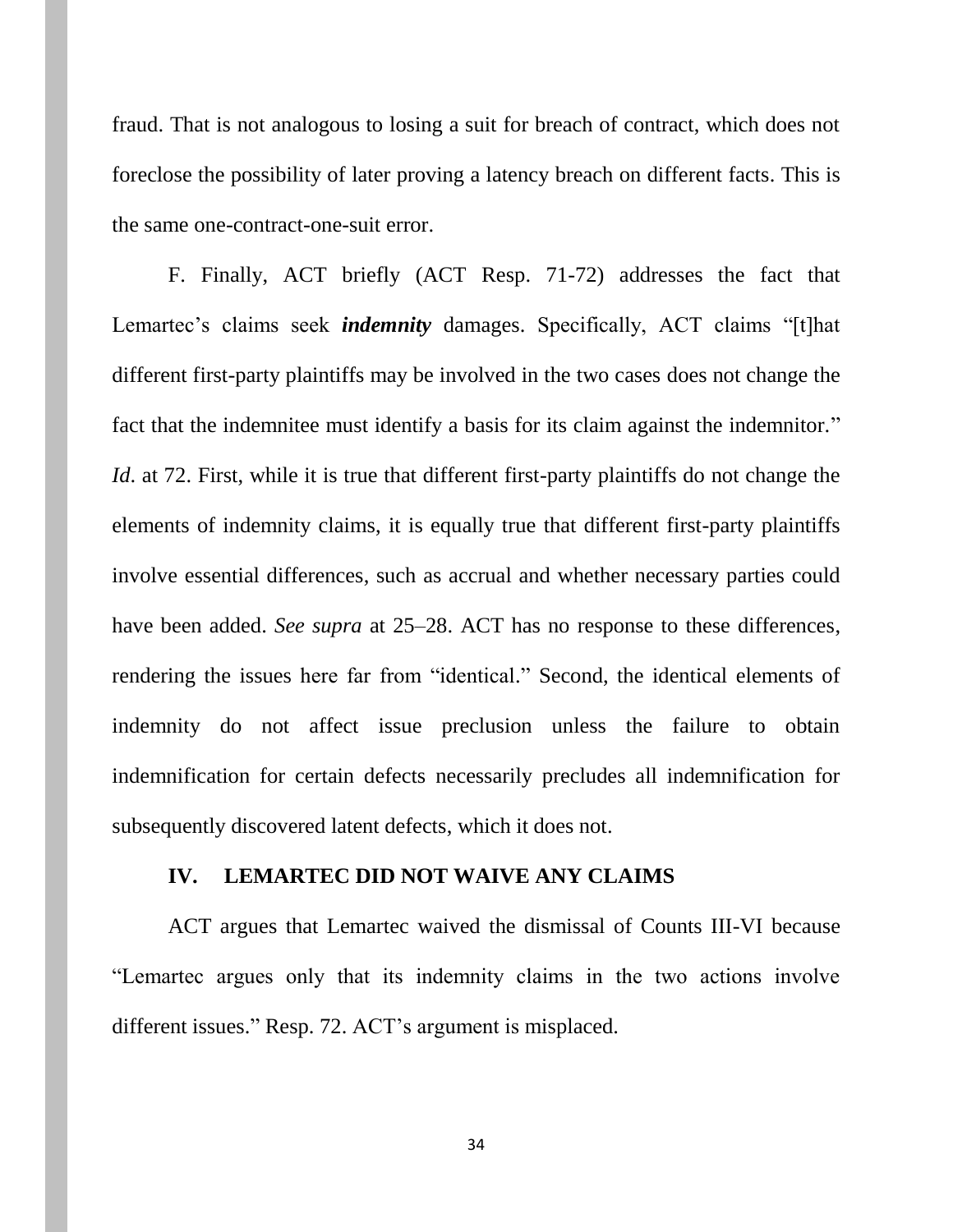fraud. That is not analogous to losing a suit for breach of contract, which does not foreclose the possibility of later proving a latency breach on different facts. This is the same one-contract-one-suit error.

F. Finally, ACT briefly (ACT Resp. 71-72) addresses the fact that Lemartec's claims seek *indemnity* damages. Specifically, ACT claims "[t]hat different first-party plaintiffs may be involved in the two cases does not change the fact that the indemnitee must identify a basis for its claim against the indemnitor." *Id*. at 72. First, while it is true that different first-party plaintiffs do not change the elements of indemnity claims, it is equally true that different first-party plaintiffs involve essential differences, such as accrual and whether necessary parties could have been added. *See supra* at 25–28. ACT has no response to these differences, rendering the issues here far from "identical." Second, the identical elements of indemnity do not affect issue preclusion unless the failure to obtain indemnification for certain defects necessarily precludes all indemnification for subsequently discovered latent defects, which it does not.

#### **IV. LEMARTEC DID NOT WAIVE ANY CLAIMS**

ACT argues that Lemartec waived the dismissal of Counts III-VI because "Lemartec argues only that its indemnity claims in the two actions involve different issues." Resp. 72. ACT's argument is misplaced.

34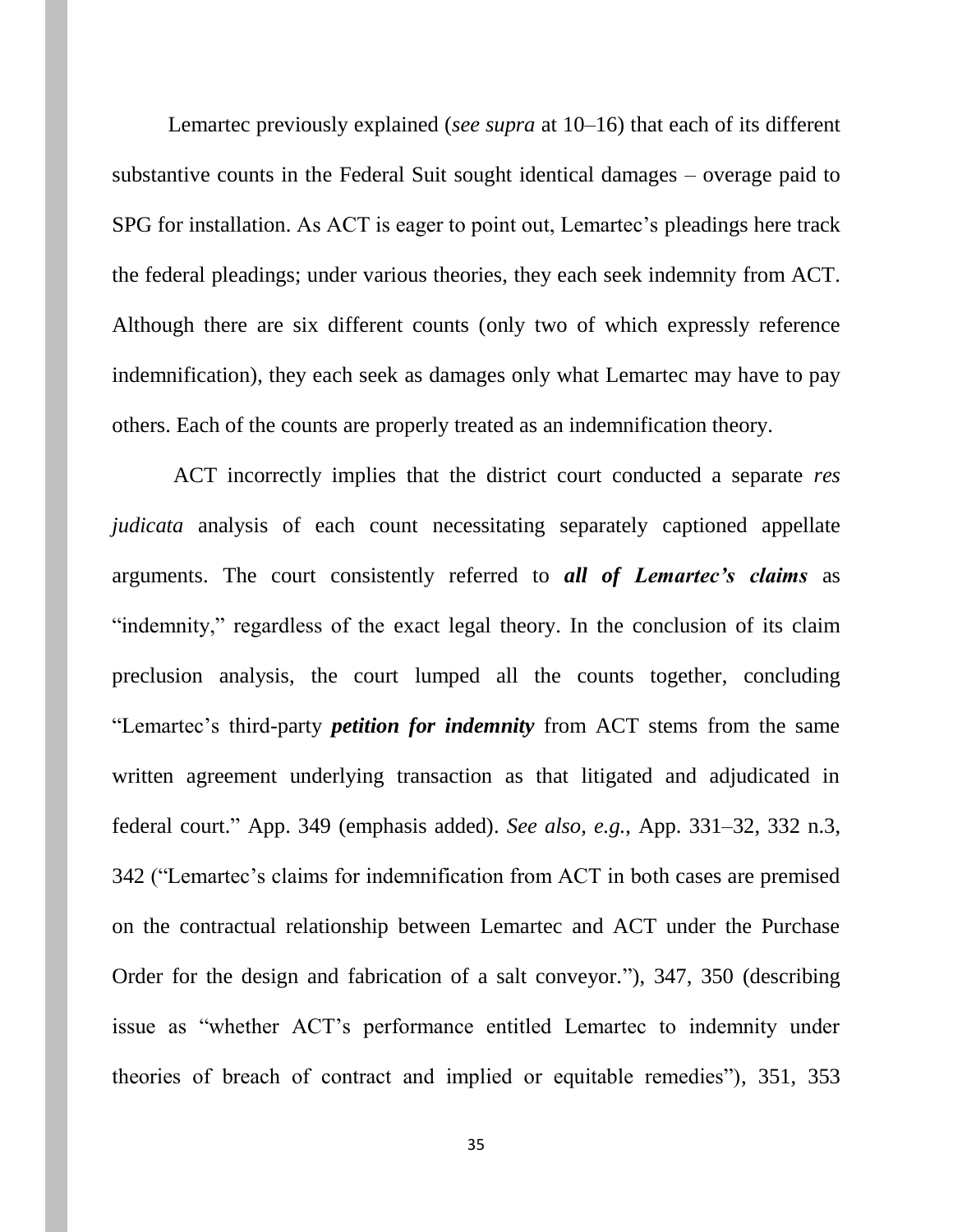Lemartec previously explained (*see supra* at 10–16) that each of its different substantive counts in the Federal Suit sought identical damages – overage paid to SPG for installation. As ACT is eager to point out, Lemartec's pleadings here track the federal pleadings; under various theories, they each seek indemnity from ACT. Although there are six different counts (only two of which expressly reference indemnification), they each seek as damages only what Lemartec may have to pay others. Each of the counts are properly treated as an indemnification theory.

ACT incorrectly implies that the district court conducted a separate *res judicata* analysis of each count necessitating separately captioned appellate arguments. The court consistently referred to *all of Lemartec's claims* as "indemnity," regardless of the exact legal theory. In the conclusion of its claim preclusion analysis, the court lumped all the counts together, concluding "Lemartec's third-party *petition for indemnity* from ACT stems from the same written agreement underlying transaction as that litigated and adjudicated in federal court." App. 349 (emphasis added). *See also, e.g.*, App. 331–32, 332 n.3, 342 ("Lemartec's claims for indemnification from ACT in both cases are premised on the contractual relationship between Lemartec and ACT under the Purchase Order for the design and fabrication of a salt conveyor."), 347, 350 (describing issue as "whether ACT's performance entitled Lemartec to indemnity under theories of breach of contract and implied or equitable remedies"), 351, 353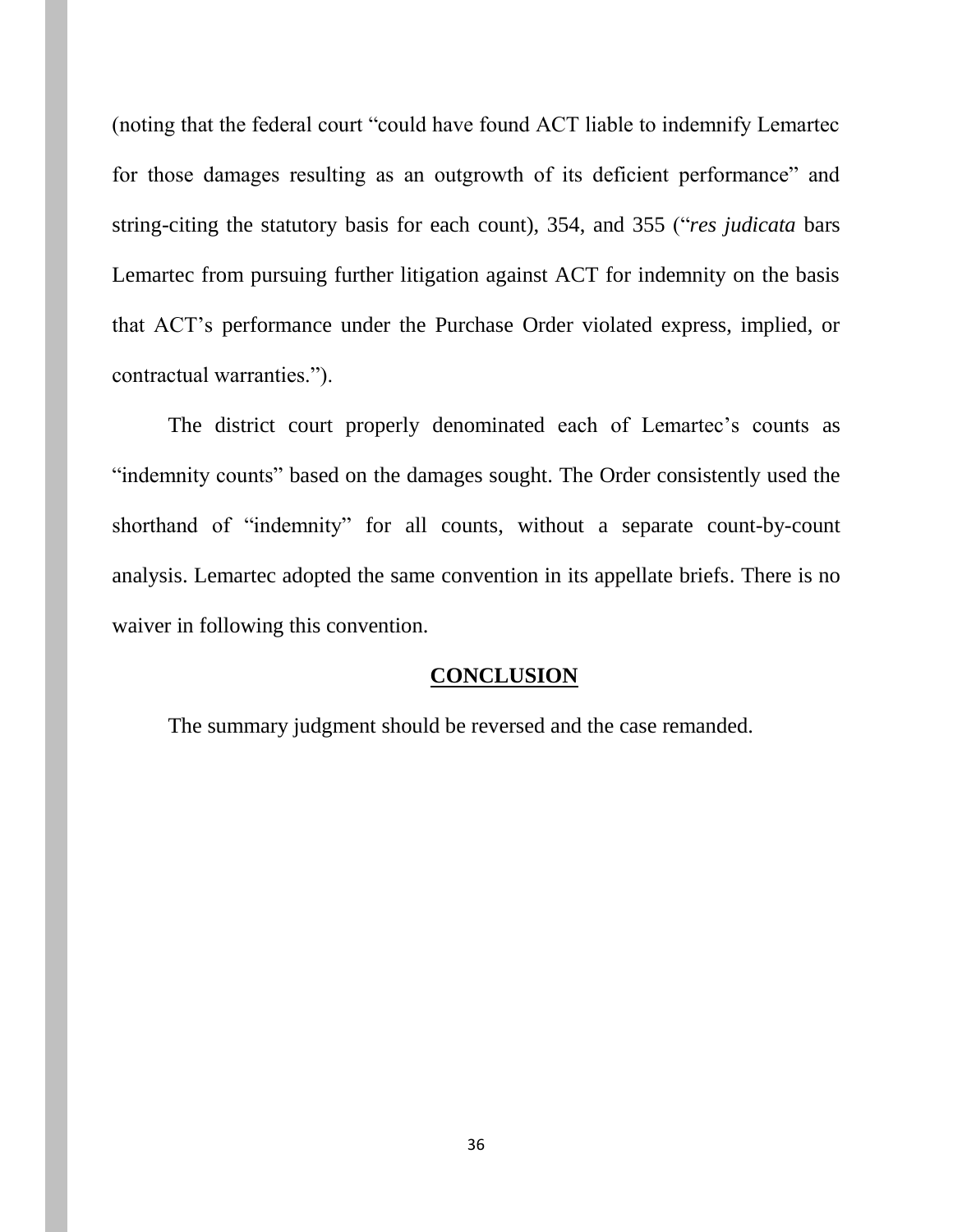(noting that the federal court "could have found ACT liable to indemnify Lemartec for those damages resulting as an outgrowth of its deficient performance" and string-citing the statutory basis for each count), 354, and 355 ("*res judicata* bars Lemartec from pursuing further litigation against ACT for indemnity on the basis that ACT's performance under the Purchase Order violated express, implied, or contractual warranties.").

The district court properly denominated each of Lemartec's counts as "indemnity counts" based on the damages sought. The Order consistently used the shorthand of "indemnity" for all counts, without a separate count-by-count analysis. Lemartec adopted the same convention in its appellate briefs. There is no waiver in following this convention.

#### **CONCLUSION**

The summary judgment should be reversed and the case remanded.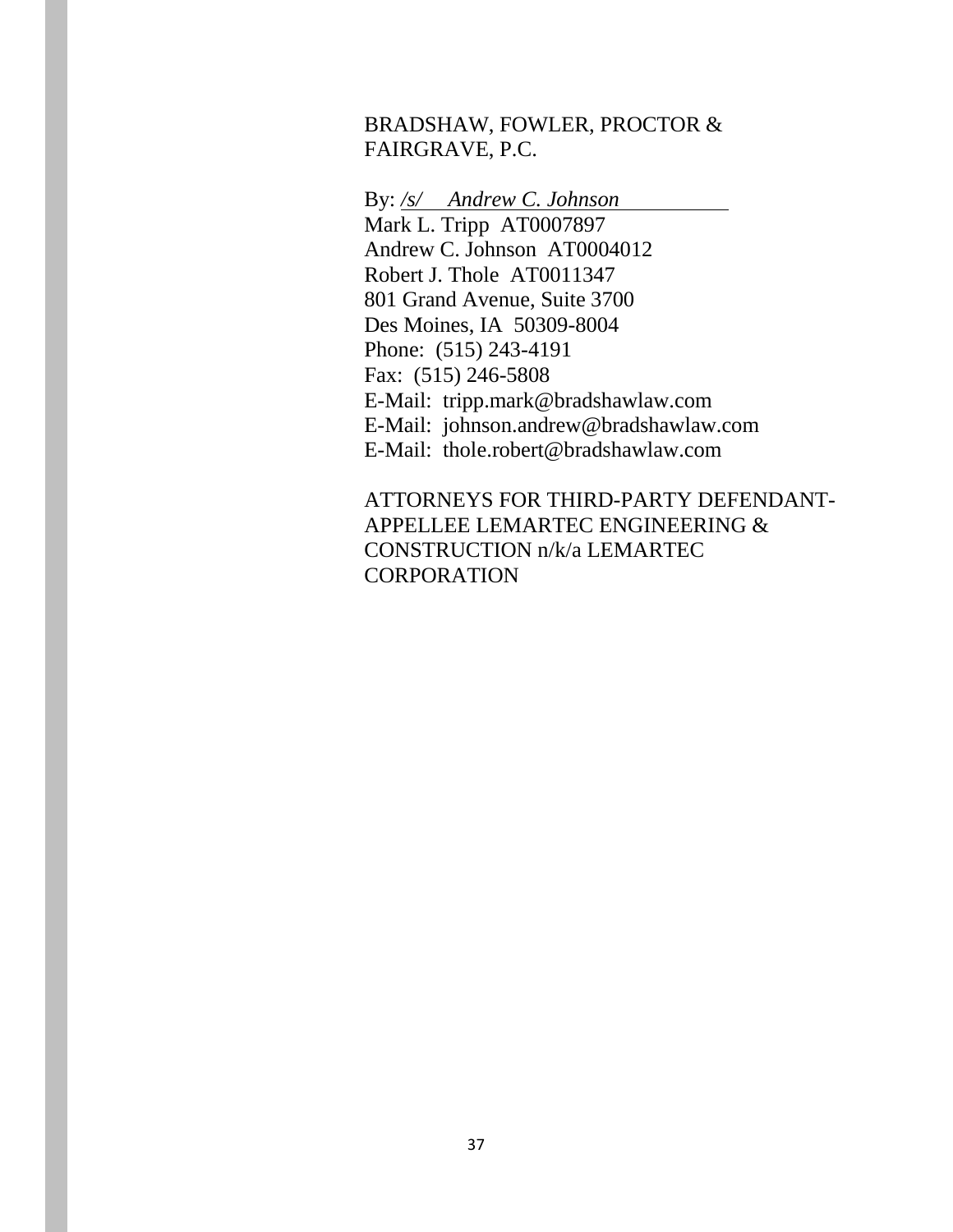## BRADSHAW, FOWLER, PROCTOR & FAIRGRAVE, P.C.

By: */s/ Andrew C. Johnson* Mark L. Tripp AT0007897 Andrew C. Johnson AT0004012 Robert J. Thole AT0011347 801 Grand Avenue, Suite 3700 Des Moines, IA 50309-8004 Phone: (515) 243-4191 Fax: (515) 246-5808 E-Mail: tripp.mark@bradshawlaw.com E-Mail: johnson.andrew@bradshawlaw.com E-Mail: thole.robert@bradshawlaw.com

ATTORNEYS FOR THIRD-PARTY DEFENDANT-APPELLEE LEMARTEC ENGINEERING & CONSTRUCTION n/k/a LEMARTEC CORPORATION